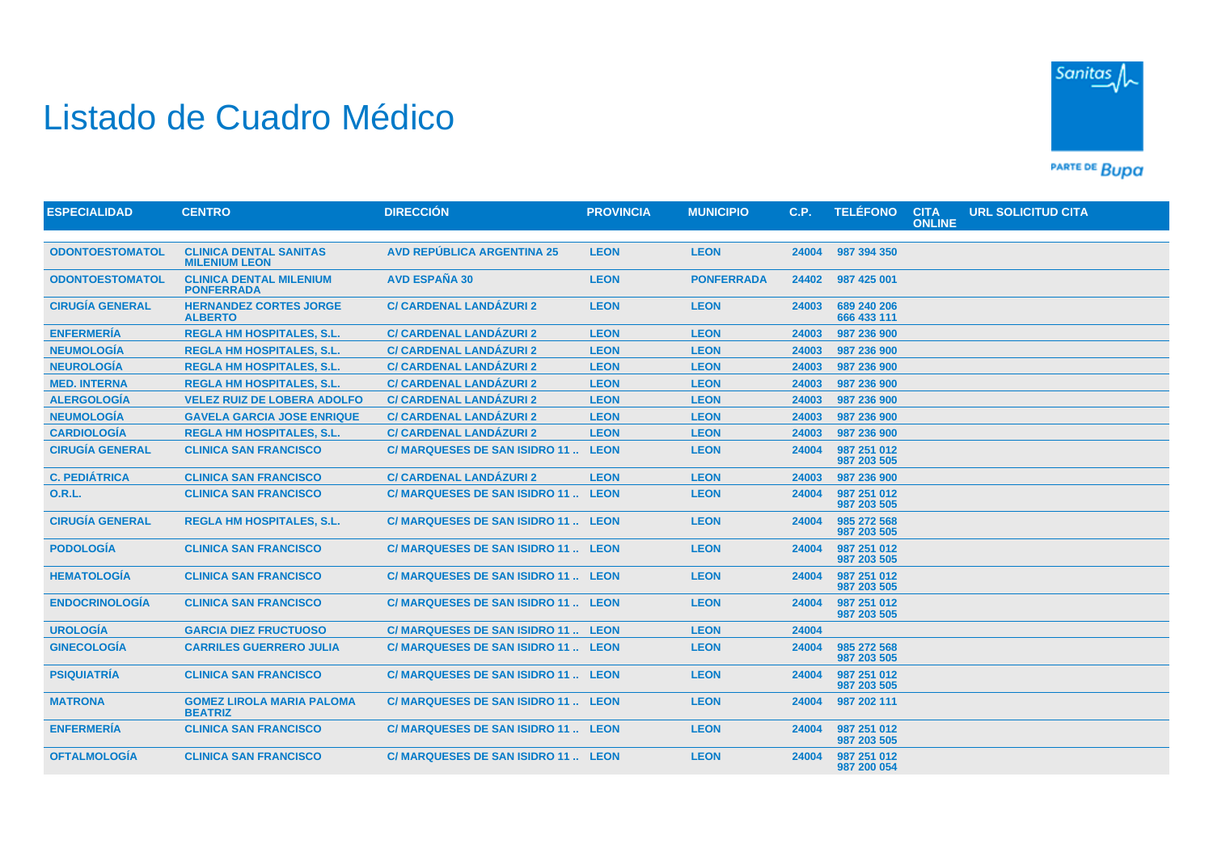## Listado de Cuadro Médico



PARTE DE BUDA

| <b>ESPECIALIDAD</b>    | <b>CENTRO</b>                                         | <b>DIRECCIÓN</b>                    | <b>PROVINCIA</b> | <b>MUNICIPIO</b>  | C.P.  | <b>TELÉFONO</b>            | <b>CITA</b><br><b>ONLINE</b> | <b>URL SOLICITUD CITA</b> |  |
|------------------------|-------------------------------------------------------|-------------------------------------|------------------|-------------------|-------|----------------------------|------------------------------|---------------------------|--|
|                        |                                                       |                                     |                  |                   |       |                            |                              |                           |  |
| <b>ODONTOESTOMATOL</b> | <b>CLINICA DENTAL SANITAS</b><br><b>MILENIUM LEON</b> | <b>AVD REPÚBLICA ARGENTINA 25</b>   | <b>LEON</b>      | <b>LEON</b>       | 24004 | 987 394 350                |                              |                           |  |
| <b>ODONTOESTOMATOL</b> | <b>CLINICA DENTAL MILENIUM</b><br><b>PONFERRADA</b>   | <b>AVD ESPAÑA 30</b>                | <b>LEON</b>      | <b>PONFERRADA</b> | 24402 | 987 425 001                |                              |                           |  |
| <b>CIRUGÍA GENERAL</b> | <b>HERNANDEZ CORTES JORGE</b><br><b>ALBERTO</b>       | <b>C/ CARDENAL LANDÁZURI 2</b>      | <b>LEON</b>      | <b>LEON</b>       | 24003 | 689 240 206<br>666 433 111 |                              |                           |  |
| <b>ENFERMERÍA</b>      | <b>REGLA HM HOSPITALES, S.L.</b>                      | <b>C/ CARDENAL LANDÁZURI 2</b>      | <b>LEON</b>      | <b>LEON</b>       | 24003 | 987 236 900                |                              |                           |  |
| <b>NEUMOLOGÍA</b>      | <b>REGLA HM HOSPITALES, S.L.</b>                      | <b>C/ CARDENAL LANDÁZURI 2</b>      | <b>LEON</b>      | <b>LEON</b>       | 24003 | 987 236 900                |                              |                           |  |
| <b>NEUROLOGÍA</b>      | <b>REGLA HM HOSPITALES, S.L.</b>                      | <b>C/ CARDENAL LANDÁZURI 2</b>      | <b>LEON</b>      | <b>LEON</b>       | 24003 | 987 236 900                |                              |                           |  |
| <b>MED. INTERNA</b>    | <b>REGLA HM HOSPITALES, S.L.</b>                      | <b>C/ CARDENAL LANDÁZURI 2</b>      | <b>LEON</b>      | <b>LEON</b>       | 24003 | 987 236 900                |                              |                           |  |
| <b>ALERGOLOGIA</b>     | <b>VELEZ RUIZ DE LOBERA ADOLFO</b>                    | <b>C/ CARDENAL LANDÁZURI 2</b>      | <b>LEON</b>      | <b>LEON</b>       | 24003 | 987 236 900                |                              |                           |  |
| <b>NEUMOLOGÍA</b>      | <b>GAVELA GARCIA JOSE ENRIQUE</b>                     | <b>C/ CARDENAL LANDÁZURI 2</b>      | <b>LEON</b>      | <b>LEON</b>       | 24003 | 987 236 900                |                              |                           |  |
| <b>CARDIOLOGÍA</b>     | <b>REGLA HM HOSPITALES, S.L.</b>                      | <b>C/ CARDENAL LANDÁZURI 2</b>      | <b>LEON</b>      | <b>LEON</b>       | 24003 | 987 236 900                |                              |                           |  |
| <b>CIRUGÍA GENERAL</b> | <b>CLINICA SAN FRANCISCO</b>                          | C/ MARQUESES DE SAN ISIDRO 11.      | <b>LEON</b>      | <b>LEON</b>       | 24004 | 987 251 012<br>987 203 505 |                              |                           |  |
| <b>C. PEDIÁTRICA</b>   | <b>CLINICA SAN FRANCISCO</b>                          | <b>C/ CARDENAL LANDÁZURI 2</b>      | <b>LEON</b>      | <b>LEON</b>       | 24003 | 987 236 900                |                              |                           |  |
| <b>O.R.L.</b>          | <b>CLINICA SAN FRANCISCO</b>                          | C/ MARQUESES DE SAN ISIDRO 11  LEON |                  | <b>LEON</b>       | 24004 | 987 251 012<br>987 203 505 |                              |                           |  |
| <b>CIRUGÍA GENERAL</b> | <b>REGLA HM HOSPITALES, S.L.</b>                      | C/ MARQUESES DE SAN ISIDRO 11  LEON |                  | <b>LEON</b>       | 24004 | 985 272 568<br>987 203 505 |                              |                           |  |
| <b>PODOLOGÍA</b>       | <b>CLINICA SAN FRANCISCO</b>                          | C/ MARQUESES DE SAN ISIDRO 11  LEON |                  | <b>LEON</b>       | 24004 | 987 251 012<br>987 203 505 |                              |                           |  |
| <b>HEMATOLOGÍA</b>     | <b>CLINICA SAN FRANCISCO</b>                          | C/MARQUESES DE SAN ISIDRO 11  LEON  |                  | <b>LEON</b>       | 24004 | 987 251 012<br>987 203 505 |                              |                           |  |
| <b>ENDOCRINOLOGÍA</b>  | <b>CLINICA SAN FRANCISCO</b>                          | C/ MARQUESES DE SAN ISIDRO 11  LEON |                  | <b>LEON</b>       | 24004 | 987 251 012<br>987 203 505 |                              |                           |  |
| <b>UROLOGÍA</b>        | <b>GARCIA DIEZ FRUCTUOSO</b>                          | C/ MARQUESES DE SAN ISIDRO 11  LEON |                  | <b>LEON</b>       | 24004 |                            |                              |                           |  |
| <b>GINECOLOGIA</b>     | <b>CARRILES GUERRERO JULIA</b>                        | C/MARQUESES DE SAN ISIDRO 11  LEON  |                  | <b>LEON</b>       | 24004 | 985 272 568<br>987 203 505 |                              |                           |  |
| <b>PSIQUIATRÍA</b>     | <b>CLINICA SAN FRANCISCO</b>                          | C/ MARQUESES DE SAN ISIDRO 11  LEON |                  | <b>LEON</b>       | 24004 | 987 251 012<br>987 203 505 |                              |                           |  |
| <b>MATRONA</b>         | <b>GOMEZ LIROLA MARIA PALOMA</b><br><b>BEATRIZ</b>    | C/MARQUESES DE SAN ISIDRO 11  LEON  |                  | <b>LEON</b>       | 24004 | 987 202 111                |                              |                           |  |
| <b>ENFERMERÍA</b>      | <b>CLINICA SAN FRANCISCO</b>                          | C/ MARQUESES DE SAN ISIDRO 11  LEON |                  | <b>LEON</b>       | 24004 | 987 251 012<br>987 203 505 |                              |                           |  |
| <b>OFTALMOLOGÍA</b>    | <b>CLINICA SAN FRANCISCO</b>                          | C/MARQUESES DE SAN ISIDRO 11  LEON  |                  | <b>LEON</b>       | 24004 | 987 251 012<br>987 200 054 |                              |                           |  |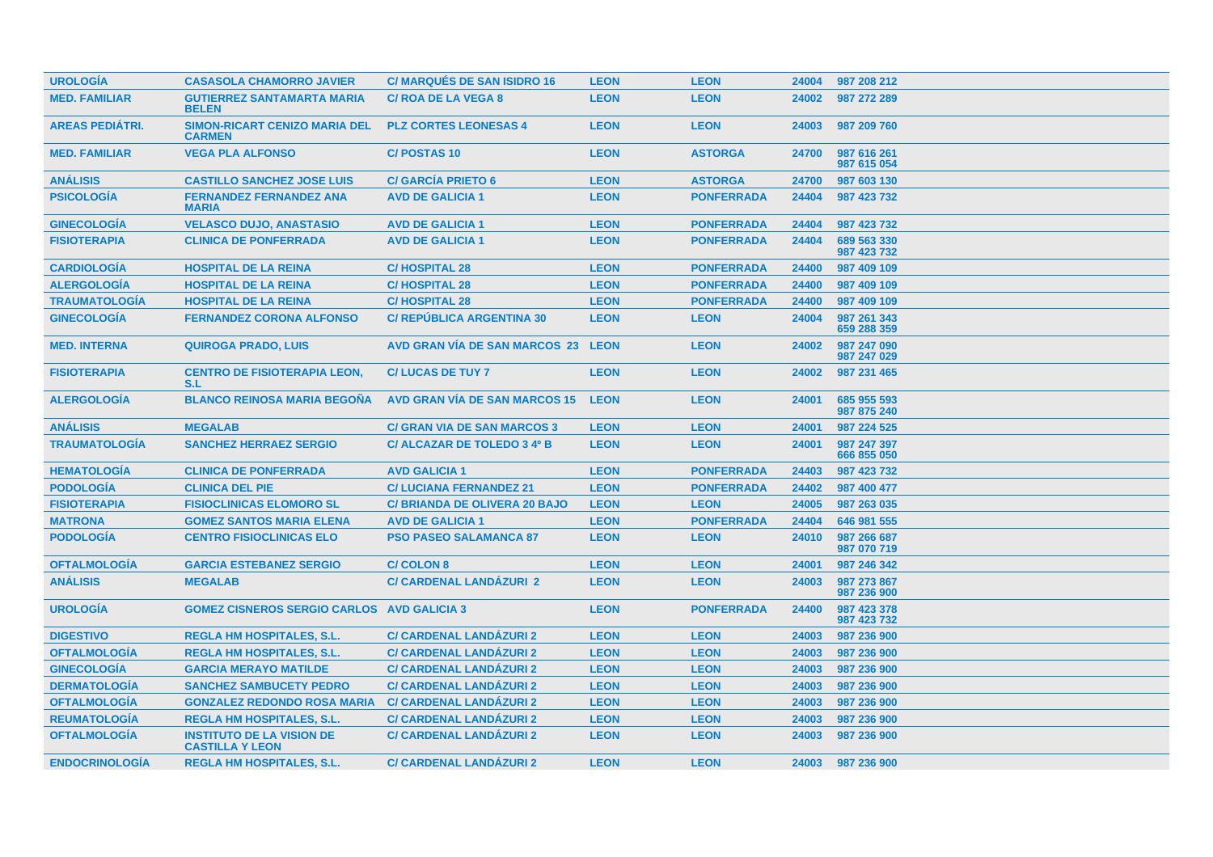| <b>UROLOGIA</b>        | <b>CASASOLA CHAMORRO JAVIER</b>                            | <b>C/ MARQUÉS DE SAN ISIDRO 16</b>   | <b>LEON</b> | <b>LEON</b>       | 24004 | 987 208 212                |
|------------------------|------------------------------------------------------------|--------------------------------------|-------------|-------------------|-------|----------------------------|
| <b>MED. FAMILIAR</b>   | <b>GUTIERREZ SANTAMARTA MARIA</b><br><b>BELEN</b>          | <b>C/ ROA DE LA VEGA 8</b>           | <b>LEON</b> | <b>LEON</b>       | 24002 | 987 272 289                |
| <b>AREAS PEDIÁTRI.</b> | <b>SIMON-RICART CENIZO MARIA DEL</b><br><b>CARMEN</b>      | <b>PLZ CORTES LEONESAS 4</b>         | <b>LEON</b> | <b>LEON</b>       | 24003 | 987 209 760                |
| <b>MED. FAMILIAR</b>   | <b>VEGA PLA ALFONSO</b>                                    | <b>C/POSTAS10</b>                    | <b>LEON</b> | <b>ASTORGA</b>    | 24700 | 987 616 261<br>987 615 054 |
| <b>ANÁLISIS</b>        | <b>CASTILLO SANCHEZ JOSE LUIS</b>                          | <b>C/ GARCÍA PRIETO 6</b>            | <b>LEON</b> | <b>ASTORGA</b>    | 24700 | 987 603 130                |
| <b>PSICOLOGÍA</b>      | <b>FERNANDEZ FERNANDEZ ANA</b><br><b>MARIA</b>             | <b>AVD DE GALICIA 1</b>              | <b>LEON</b> | <b>PONFERRADA</b> | 24404 | 987 423 732                |
| <b>GINECOLOGÍA</b>     | <b>VELASCO DUJO, ANASTASIO</b>                             | <b>AVD DE GALICIA 1</b>              | <b>LEON</b> | <b>PONFERRADA</b> | 24404 | 987 423 732                |
| <b>FISIOTERAPIA</b>    | <b>CLINICA DE PONFERRADA</b>                               | <b>AVD DE GALICIA 1</b>              | <b>LEON</b> | <b>PONFERRADA</b> | 24404 | 689 563 330<br>987 423 732 |
| <b>CARDIOLOGÍA</b>     | <b>HOSPITAL DE LA REINA</b>                                | <b>C/HOSPITAL 28</b>                 | <b>LEON</b> | <b>PONFERRADA</b> | 24400 | 987 409 109                |
| <b>ALERGOLOGIA</b>     | <b>HOSPITAL DE LA REINA</b>                                | <b>C/HOSPITAL 28</b>                 | <b>LEON</b> | <b>PONFERRADA</b> | 24400 | 987 409 109                |
| <b>TRAUMATOLOGÍA</b>   | <b>HOSPITAL DE LA REINA</b>                                | <b>C/HOSPITAL 28</b>                 | <b>LEON</b> | <b>PONFERRADA</b> | 24400 | 987 409 109                |
| <b>GINECOLOGÍA</b>     | <b>FERNANDEZ CORONA ALFONSO</b>                            | <b>C/ REPÚBLICA ARGENTINA 30</b>     | <b>LEON</b> | <b>LEON</b>       | 24004 | 987 261 343<br>659 288 359 |
| <b>MED. INTERNA</b>    | <b>QUIROGA PRADO, LUIS</b>                                 | AVD GRAN VIA DE SAN MARCOS 23 LEON   |             | <b>LEON</b>       | 24002 | 987 247 090<br>987 247 029 |
| <b>FISIOTERAPIA</b>    | <b>CENTRO DE FISIOTERAPIA LEON,</b><br>S.L                 | <b>C/LUCAS DE TUY 7</b>              | <b>LEON</b> | <b>LEON</b>       | 24002 | 987 231 465                |
| <b>ALERGOLOGIA</b>     | <b>BLANCO REINOSA MARIA BEGOÑA</b>                         | <b>AVD GRAN VIA DE SAN MARCOS 15</b> | <b>LEON</b> | <b>LEON</b>       | 24001 | 685 955 593<br>987 875 240 |
| <b>ANÁLISIS</b>        | <b>MEGALAB</b>                                             | <b>C/ GRAN VIA DE SAN MARCOS 3</b>   | <b>LEON</b> | <b>LEON</b>       | 24001 | 987 224 525                |
| <b>TRAUMATOLOGIA</b>   | <b>SANCHEZ HERRAEZ SERGIO</b>                              | C/ ALCAZAR DE TOLEDO 3 4º B          | <b>LEON</b> | <b>LEON</b>       | 24001 | 987 247 397<br>666 855 050 |
| <b>HEMATOLOGÍA</b>     | <b>CLINICA DE PONFERRADA</b>                               | <b>AVD GALICIA 1</b>                 | <b>LEON</b> | <b>PONFERRADA</b> | 24403 | 987 423 732                |
| <b>PODOLOGÍA</b>       | <b>CLINICA DEL PIE</b>                                     | <b>C/ LUCIANA FERNANDEZ 21</b>       | <b>LEON</b> | <b>PONFERRADA</b> | 24402 | 987 400 477                |
| <b>FISIOTERAPIA</b>    | <b>FISIOCLINICAS ELOMORO SL</b>                            | <b>C/BRIANDA DE OLIVERA 20 BAJO</b>  | <b>LEON</b> | <b>LEON</b>       | 24005 | 987 263 035                |
| <b>MATRONA</b>         | <b>GOMEZ SANTOS MARIA ELENA</b>                            | <b>AVD DE GALICIA 1</b>              | <b>LEON</b> | <b>PONFERRADA</b> | 24404 | 646 981 555                |
| <b>PODOLOGÍA</b>       | <b>CENTRO FISIOCLINICAS ELO</b>                            | <b>PSO PASEO SALAMANCA 87</b>        | <b>LEON</b> | <b>LEON</b>       | 24010 | 987 266 687<br>987 070 719 |
| <b>OFTALMOLOGÍA</b>    | <b>GARCIA ESTEBANEZ SERGIO</b>                             | <b>C/COLON 8</b>                     | <b>LEON</b> | <b>LEON</b>       | 24001 | 987 246 342                |
| <b>ANÁLISIS</b>        | <b>MEGALAB</b>                                             | <b>C/ CARDENAL LANDÁZURI 2</b>       | <b>LEON</b> | <b>LEON</b>       | 24003 | 987 273 867<br>987 236 900 |
| <b>UROLOGÍA</b>        | <b>GOMEZ CISNEROS SERGIO CARLOS AVD GALICIA 3</b>          |                                      | <b>LEON</b> | <b>PONFERRADA</b> | 24400 | 987 423 378<br>987 423 732 |
| <b>DIGESTIVO</b>       | <b>REGLA HM HOSPITALES, S.L.</b>                           | <b>C/ CARDENAL LANDAZURI 2</b>       | <b>LEON</b> | <b>LEON</b>       | 24003 | 987 236 900                |
| <b>OFTALMOLOGÍA</b>    | <b>REGLA HM HOSPITALES, S.L.</b>                           | <b>C/ CARDENAL LANDAZURI 2</b>       | <b>LEON</b> | <b>LEON</b>       | 24003 | 987 236 900                |
| <b>GINECOLOGÍA</b>     | <b>GARCIA MERAYO MATILDE</b>                               | <b>C/ CARDENAL LANDÁZURI 2</b>       | <b>LEON</b> | <b>LEON</b>       | 24003 | 987 236 900                |
| <b>DERMATOLOGIA</b>    | <b>SANCHEZ SAMBUCETY PEDRO</b>                             | <b>C/ CARDENAL LANDAZURI 2</b>       | <b>LEON</b> | <b>LEON</b>       | 24003 | 987 236 900                |
| <b>OFTALMOLOGÍA</b>    | <b>GONZALEZ REDONDO ROSA MARIA</b>                         | <b>C/ CARDENAL LANDAZURI 2</b>       | <b>LEON</b> | <b>LEON</b>       | 24003 | 987 236 900                |
| <b>REUMATOLOGIA</b>    | <b>REGLA HM HOSPITALES, S.L.</b>                           | <b>C/ CARDENAL LANDÁZURI 2</b>       | <b>LEON</b> | <b>LEON</b>       | 24003 | 987 236 900                |
| <b>OFTALMOLOGÍA</b>    | <b>INSTITUTO DE LA VISION DE</b><br><b>CASTILLA Y LEON</b> | <b>C/ CARDENAL LANDAZURI 2</b>       | <b>LEON</b> | <b>LEON</b>       | 24003 | 987 236 900                |
| <b>ENDOCRINOLOGÍA</b>  | <b>REGLA HM HOSPITALES, S.L.</b>                           | <b>C/ CARDENAL LANDÁZURI 2</b>       | <b>LEON</b> | <b>LEON</b>       | 24003 | 987 236 900                |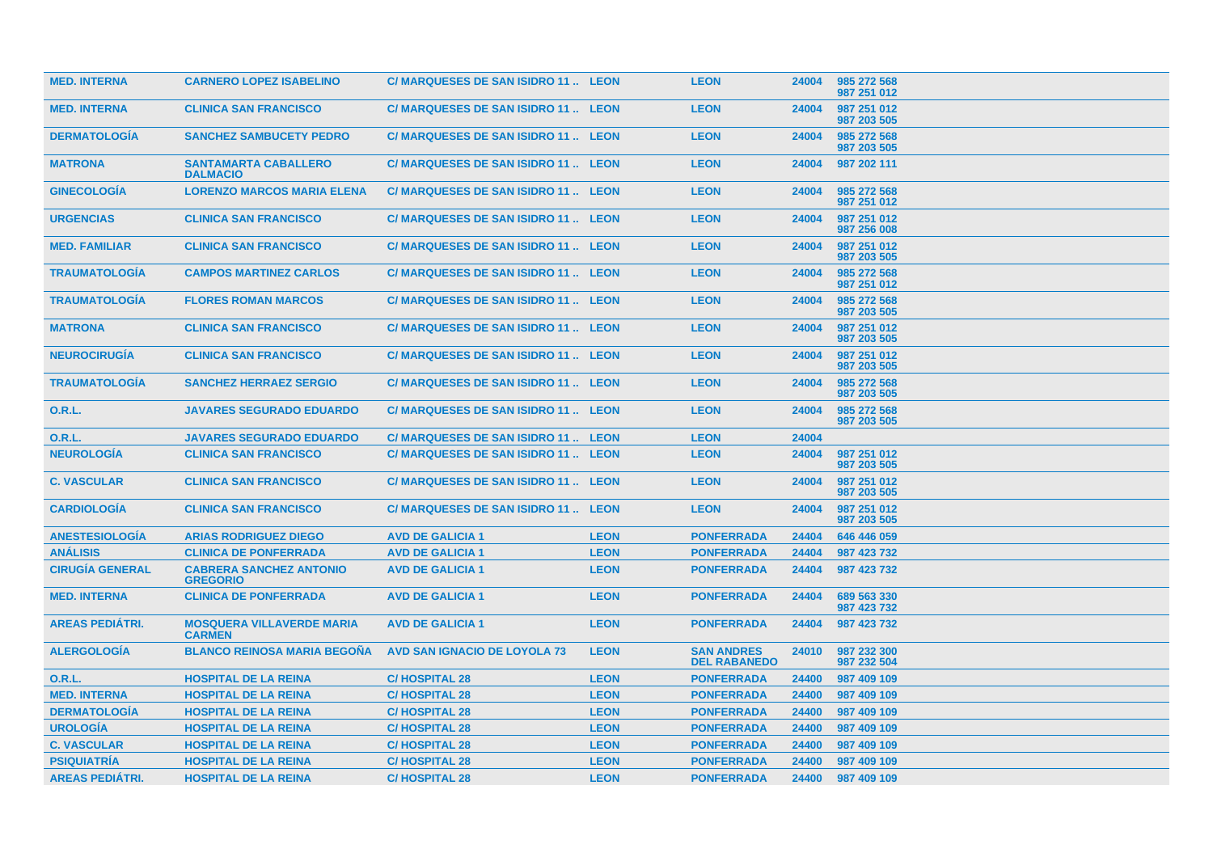| <b>MED. INTERNA</b>    | <b>CARNERO LOPEZ ISABELINO</b>                    | C/ MARQUESES DE SAN ISIDRO 11  LEON |             | <b>LEON</b>                              | 24004 | 985 272 568<br>987 251 012 |
|------------------------|---------------------------------------------------|-------------------------------------|-------------|------------------------------------------|-------|----------------------------|
| <b>MED. INTERNA</b>    | <b>CLINICA SAN FRANCISCO</b>                      | C/MARQUESES DE SAN ISIDRO 11  LEON  |             | <b>LEON</b>                              | 24004 | 987 251 012<br>987 203 505 |
| <b>DERMATOLOGIA</b>    | <b>SANCHEZ SAMBUCETY PEDRO</b>                    | C/ MARQUESES DE SAN ISIDRO 11  LEON |             | <b>LEON</b>                              | 24004 | 985 272 568<br>987 203 505 |
| <b>MATRONA</b>         | <b>SANTAMARTA CABALLERO</b><br><b>DALMACIO</b>    | C/ MARQUESES DE SAN ISIDRO 11  LEON |             | <b>LEON</b>                              | 24004 | 987 202 111                |
| <b>GINECOLOGIA</b>     | <b>LORENZO MARCOS MARIA ELENA</b>                 | C/MARQUESES DE SAN ISIDRO 11  LEON  |             | <b>LEON</b>                              | 24004 | 985 272 568<br>987 251 012 |
| <b>URGENCIAS</b>       | <b>CLINICA SAN FRANCISCO</b>                      | C/ MARQUESES DE SAN ISIDRO 11  LEON |             | <b>LEON</b>                              | 24004 | 987 251 012<br>987 256 008 |
| <b>MED. FAMILIAR</b>   | <b>CLINICA SAN FRANCISCO</b>                      | C/ MARQUESES DE SAN ISIDRO 11  LEON |             | <b>LEON</b>                              | 24004 | 987 251 012<br>987 203 505 |
| <b>TRAUMATOLOGIA</b>   | <b>CAMPOS MARTINEZ CARLOS</b>                     | C/MARQUESES DE SAN ISIDRO 11  LEON  |             | <b>LEON</b>                              | 24004 | 985 272 568<br>987 251 012 |
| <b>TRAUMATOLOGIA</b>   | <b>FLORES ROMAN MARCOS</b>                        | C/ MARQUESES DE SAN ISIDRO 11  LEON |             | <b>LEON</b>                              | 24004 | 985 272 568<br>987 203 505 |
| <b>MATRONA</b>         | <b>CLINICA SAN FRANCISCO</b>                      | C/ MARQUESES DE SAN ISIDRO 11  LEON |             | <b>LEON</b>                              | 24004 | 987 251 012<br>987 203 505 |
| <b>NEUROCIRUGÍA</b>    | <b>CLINICA SAN FRANCISCO</b>                      | C/ MARQUESES DE SAN ISIDRO 11  LEON |             | <b>LEON</b>                              | 24004 | 987 251 012<br>987 203 505 |
| <b>TRAUMATOLOGIA</b>   | <b>SANCHEZ HERRAEZ SERGIO</b>                     | C/ MARQUESES DE SAN ISIDRO 11  LEON |             | <b>LEON</b>                              | 24004 | 985 272 568<br>987 203 505 |
| 0.R.L.                 | <b>JAVARES SEGURADO EDUARDO</b>                   | C/ MARQUESES DE SAN ISIDRO 11  LEON |             | <b>LEON</b>                              | 24004 | 985 272 568<br>987 203 505 |
| 0.R.L.                 | <b>JAVARES SEGURADO EDUARDO</b>                   | C/ MARQUESES DE SAN ISIDRO 11  LEON |             | <b>LEON</b>                              | 24004 |                            |
| <b>NEUROLOGÍA</b>      | <b>CLINICA SAN FRANCISCO</b>                      | C/ MARQUESES DE SAN ISIDRO 11  LEON |             | <b>LEON</b>                              | 24004 | 987 251 012<br>987 203 505 |
| <b>C. VASCULAR</b>     | <b>CLINICA SAN FRANCISCO</b>                      | C/ MARQUESES DE SAN ISIDRO 11  LEON |             | <b>LEON</b>                              | 24004 | 987 251 012<br>987 203 505 |
| <b>CARDIOLOGÍA</b>     | <b>CLINICA SAN FRANCISCO</b>                      | C/ MARQUESES DE SAN ISIDRO 11  LEON |             | <b>LEON</b>                              | 24004 | 987 251 012<br>987 203 505 |
| <b>ANESTESIOLOGÍA</b>  | <b>ARIAS RODRIGUEZ DIEGO</b>                      | <b>AVD DE GALICIA 1</b>             | <b>LEON</b> | <b>PONFERRADA</b>                        | 24404 | 646 446 059                |
| <b>ANÁLISIS</b>        | <b>CLINICA DE PONFERRADA</b>                      | <b>AVD DE GALICIA 1</b>             | <b>LEON</b> | <b>PONFERRADA</b>                        | 24404 | 987 423 732                |
| <b>CIRUGÍA GENERAL</b> | <b>CABRERA SANCHEZ ANTONIO</b><br><b>GREGORIO</b> | <b>AVD DE GALICIA 1</b>             | <b>LEON</b> | <b>PONFERRADA</b>                        | 24404 | 987 423 732                |
| <b>MED. INTERNA</b>    | <b>CLINICA DE PONFERRADA</b>                      | <b>AVD DE GALICIA 1</b>             | <b>LEON</b> | <b>PONFERRADA</b>                        | 24404 | 689 563 330<br>987 423 732 |
| <b>AREAS PEDIÁTRI.</b> | <b>MOSQUERA VILLAVERDE MARIA</b><br><b>CARMEN</b> | <b>AVD DE GALICIA 1</b>             | <b>LEON</b> | <b>PONFERRADA</b>                        | 24404 | 987 423 732                |
| <b>ALERGOLOGÍA</b>     | <b>BLANCO REINOSA MARIA BEGOÑA</b>                | <b>AVD SAN IGNACIO DE LOYOLA 73</b> | <b>LEON</b> | <b>SAN ANDRES</b><br><b>DEL RABANEDO</b> | 24010 | 987 232 300<br>987 232 504 |
| <b>O.R.L.</b>          | <b>HOSPITAL DE LA REINA</b>                       | <b>C/HOSPITAL 28</b>                | <b>LEON</b> | <b>PONFERRADA</b>                        | 24400 | 987 409 109                |
| <b>MED. INTERNA</b>    | <b>HOSPITAL DE LA REINA</b>                       | <b>C/HOSPITAL 28</b>                | <b>LEON</b> | <b>PONFERRADA</b>                        | 24400 | 987 409 109                |
| <b>DERMATOLOGÍA</b>    | <b>HOSPITAL DE LA REINA</b>                       | <b>C/HOSPITAL 28</b>                | <b>LEON</b> | <b>PONFERRADA</b>                        | 24400 | 987 409 109                |
| <b>UROLOGÍA</b>        | <b>HOSPITAL DE LA REINA</b>                       | <b>C/HOSPITAL 28</b>                | <b>LEON</b> | <b>PONFERRADA</b>                        | 24400 | 987 409 109                |
| <b>C. VASCULAR</b>     | <b>HOSPITAL DE LA REINA</b>                       | <b>C/HOSPITAL 28</b>                | <b>LEON</b> | <b>PONFERRADA</b>                        | 24400 | 987 409 109                |
|                        |                                                   |                                     |             |                                          |       |                            |
| <b>PSIQUIATRIA</b>     | <b>HOSPITAL DE LA REINA</b>                       | <b>C/HOSPITAL 28</b>                | <b>LEON</b> | <b>PONFERRADA</b>                        | 24400 | 987 409 109                |
| <b>AREAS PEDIATRI.</b> | <b>HOSPITAL DE LA REINA</b>                       | <b>C/HOSPITAL 28</b>                | <b>LEON</b> | <b>PONFERRADA</b>                        | 24400 | 987 409 109                |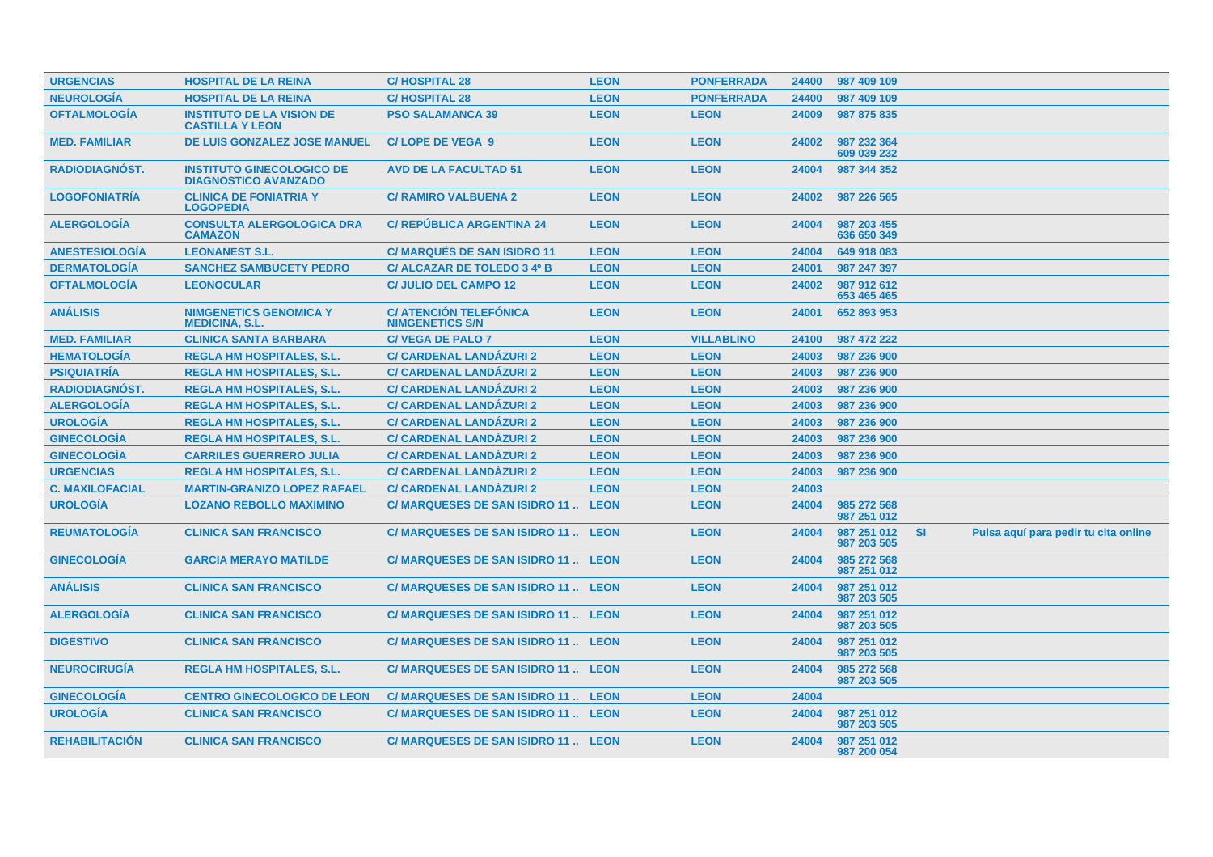| <b>URGENCIAS</b>       | <b>HOSPITAL DE LA REINA</b>                                     | <b>C/HOSPITAL 28</b>                                    | <b>LEON</b> | <b>PONFERRADA</b> | 24400 | 987 409 109                |           |                                      |
|------------------------|-----------------------------------------------------------------|---------------------------------------------------------|-------------|-------------------|-------|----------------------------|-----------|--------------------------------------|
| <b>NEUROLOGÍA</b>      | <b>HOSPITAL DE LA REINA</b>                                     | <b>C/HOSPITAL 28</b>                                    | <b>LEON</b> | <b>PONFERRADA</b> | 24400 | 987 409 109                |           |                                      |
| <b>OFTALMOLOGÍA</b>    | <b>INSTITUTO DE LA VISION DE</b><br><b>CASTILLA Y LEON</b>      | <b>PSO SALAMANCA 39</b>                                 | <b>LEON</b> | <b>LEON</b>       | 24009 | 987 875 835                |           |                                      |
| <b>MED. FAMILIAR</b>   | <b>DE LUIS GONZALEZ JOSE MANUEL</b>                             | <b>C/LOPE DE VEGA 9</b>                                 | <b>LEON</b> | <b>LEON</b>       | 24002 | 987 232 364<br>609 039 232 |           |                                      |
| <b>RADIODIAGNÓST.</b>  | <b>INSTITUTO GINECOLOGICO DE</b><br><b>DIAGNOSTICO AVANZADO</b> | <b>AVD DE LA FACULTAD 51</b>                            | <b>LEON</b> | <b>LEON</b>       | 24004 | 987 344 352                |           |                                      |
| <b>LOGOFONIATRIA</b>   | <b>CLINICA DE FONIATRIA Y</b><br><b>LOGOPEDIA</b>               | <b>C/ RAMIRO VALBUENA 2</b>                             | <b>LEON</b> | <b>LEON</b>       | 24002 | 987 226 565                |           |                                      |
| <b>ALERGOLOGIA</b>     | <b>CONSULTA ALERGOLOGICA DRA</b><br><b>CAMAZON</b>              | <b>C/ REPUBLICA ARGENTINA 24</b>                        | <b>LEON</b> | <b>LEON</b>       | 24004 | 987 203 455<br>636 650 349 |           |                                      |
| <b>ANESTESIOLOGÍA</b>  | <b>LEONANEST S.L.</b>                                           | <b>C/ MARQUÉS DE SAN ISIDRO 11</b>                      | <b>LEON</b> | <b>LEON</b>       | 24004 | 649 918 083                |           |                                      |
| <b>DERMATOLOGÍA</b>    | <b>SANCHEZ SAMBUCETY PEDRO</b>                                  | C/ ALCAZAR DE TOLEDO 3 4º B                             | <b>LEON</b> | <b>LEON</b>       | 24001 | 987 247 397                |           |                                      |
| <b>OFTALMOLOGÍA</b>    | <b>LEONOCULAR</b>                                               | <b>C/ JULIO DEL CAMPO 12</b>                            | <b>LEON</b> | <b>LEON</b>       | 24002 | 987 912 612<br>653 465 465 |           |                                      |
| <b>ANÁLISIS</b>        | <b>NIMGENETICS GENOMICA Y</b><br><b>MEDICINA, S.L.</b>          | <b>C/ ATENCIÓN TELEFÓNICA</b><br><b>NIMGENETICS S/N</b> | <b>LEON</b> | <b>LEON</b>       | 24001 | 652 893 953                |           |                                      |
| <b>MED. FAMILIAR</b>   | <b>CLINICA SANTA BARBARA</b>                                    | <b>C/VEGA DE PALO 7</b>                                 | <b>LEON</b> | <b>VILLABLINO</b> | 24100 | 987 472 222                |           |                                      |
| <b>HEMATOLOGIA</b>     | <b>REGLA HM HOSPITALES, S.L.</b>                                | <b>C/ CARDENAL LANDAZURI 2</b>                          | <b>LEON</b> | <b>LEON</b>       | 24003 | 987 236 900                |           |                                      |
| <b>PSIQUIATRIA</b>     | <b>REGLA HM HOSPITALES, S.L.</b>                                | <b>C/ CARDENAL LANDAZURI 2</b>                          | <b>LEON</b> | <b>LEON</b>       | 24003 | 987 236 900                |           |                                      |
| RADIODIAGNÓST.         | <b>REGLA HM HOSPITALES, S.L.</b>                                | <b>C/ CARDENAL LANDÁZURI 2</b>                          | <b>LEON</b> | <b>LEON</b>       | 24003 | 987 236 900                |           |                                      |
| <b>ALERGOLOGÍA</b>     | <b>REGLA HM HOSPITALES, S.L.</b>                                | <b>C/ CARDENAL LANDAZURI 2</b>                          | <b>LEON</b> | <b>LEON</b>       | 24003 | 987 236 900                |           |                                      |
| <b>UROLOGÍA</b>        | <b>REGLA HM HOSPITALES, S.L.</b>                                | <b>C/ CARDENAL LANDÁZURI 2</b>                          | <b>LEON</b> | <b>LEON</b>       | 24003 | 987 236 900                |           |                                      |
| <b>GINECOLOGÍA</b>     | <b>REGLA HM HOSPITALES, S.L.</b>                                | <b>C/ CARDENAL LANDAZURI 2</b>                          | <b>LEON</b> | <b>LEON</b>       | 24003 | 987 236 900                |           |                                      |
| <b>GINECOLOGÍA</b>     | <b>CARRILES GUERRERO JULIA</b>                                  | <b>C/ CARDENAL LANDAZURI 2</b>                          | <b>LEON</b> | <b>LEON</b>       | 24003 | 987 236 900                |           |                                      |
| <b>URGENCIAS</b>       | <b>REGLA HM HOSPITALES, S.L.</b>                                | <b>C/ CARDENAL LANDÁZURI 2</b>                          | <b>LEON</b> | <b>LEON</b>       | 24003 | 987 236 900                |           |                                      |
| <b>C. MAXILOFACIAL</b> | <b>MARTIN-GRANIZO LOPEZ RAFAEL</b>                              | <b>C/ CARDENAL LANDÁZURI 2</b>                          | <b>LEON</b> | <b>LEON</b>       | 24003 |                            |           |                                      |
| <b>UROLOGÍA</b>        | <b>LOZANO REBOLLO MAXIMINO</b>                                  | <b>C/ MARQUESES DE SAN ISIDRO 11 </b>                   | <b>LEON</b> | <b>LEON</b>       | 24004 | 985 272 568<br>987 251 012 |           |                                      |
| <b>REUMATOLOGIA</b>    | <b>CLINICA SAN FRANCISCO</b>                                    | C/ MARQUESES DE SAN ISIDRO 11  LEON                     |             | <b>LEON</b>       | 24004 | 987 251 012<br>987 203 505 | <b>SI</b> | Pulsa aquí para pedir tu cita online |
| <b>GINECOLOGÍA</b>     | <b>GARCIA MERAYO MATILDE</b>                                    | C/ MARQUESES DE SAN ISIDRO 11  LEON                     |             | <b>LEON</b>       | 24004 | 985 272 568<br>987 251 012 |           |                                      |
| <b>ANÁLISIS</b>        | <b>CLINICA SAN FRANCISCO</b>                                    | C/ MARQUESES DE SAN ISIDRO 11  LEON                     |             | <b>LEON</b>       | 24004 | 987 251 012<br>987 203 505 |           |                                      |
| <b>ALERGOLOGÍA</b>     | <b>CLINICA SAN FRANCISCO</b>                                    | C/ MARQUESES DE SAN ISIDRO 11  LEON                     |             | <b>LEON</b>       | 24004 | 987 251 012<br>987 203 505 |           |                                      |
| <b>DIGESTIVO</b>       | <b>CLINICA SAN FRANCISCO</b>                                    | C/ MARQUESES DE SAN ISIDRO 11  LEON                     |             | <b>LEON</b>       | 24004 | 987 251 012<br>987 203 505 |           |                                      |
| <b>NEUROCIRUGÍA</b>    | <b>REGLA HM HOSPITALES, S.L.</b>                                | C/ MARQUESES DE SAN ISIDRO 11  LEON                     |             | <b>LEON</b>       | 24004 | 985 272 568<br>987 203 505 |           |                                      |
| <b>GINECOLOGÍA</b>     | <b>CENTRO GINECOLOGICO DE LEON</b>                              | C/ MARQUESES DE SAN ISIDRO 11  LEON                     |             | <b>LEON</b>       | 24004 |                            |           |                                      |
| <b>UROLOGÍA</b>        | <b>CLINICA SAN FRANCISCO</b>                                    | C/ MARQUESES DE SAN ISIDRO 11  LEON                     |             | <b>LEON</b>       | 24004 | 987 251 012<br>987 203 505 |           |                                      |
| <b>REHABILITACION</b>  | <b>CLINICA SAN FRANCISCO</b>                                    | C/MARQUESES DE SAN ISIDRO 11  LEON                      |             | <b>LEON</b>       | 24004 | 987 251 012<br>987 200 054 |           |                                      |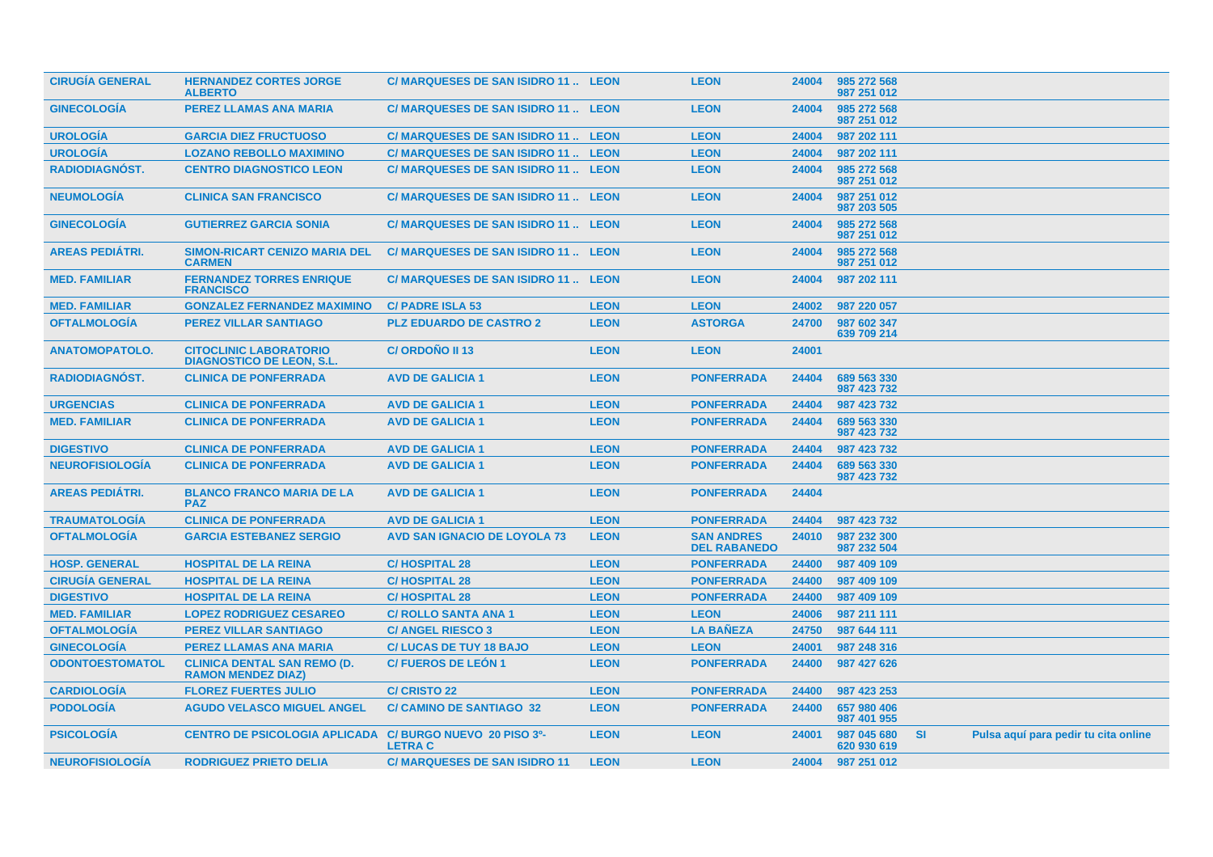| <b>CIRUGIA GENERAL</b> | <b>HERNANDEZ CORTES JORGE</b><br><b>ALBERTO</b>                   | C/ MARQUESES DE SAN ISIDRO 11  LEON         |             | <b>LEON</b>                              | 24004 | 985 272 568<br>987 251 012 |           |                                      |
|------------------------|-------------------------------------------------------------------|---------------------------------------------|-------------|------------------------------------------|-------|----------------------------|-----------|--------------------------------------|
| <b>GINECOLOGIA</b>     | <b>PEREZ LLAMAS ANA MARIA</b>                                     | C/MARQUESES DE SAN ISIDRO 11  LEON          |             | <b>LEON</b>                              | 24004 | 985 272 568<br>987 251 012 |           |                                      |
| <b>UROLOGÍA</b>        | <b>GARCIA DIEZ FRUCTUOSO</b>                                      | C/ MARQUESES DE SAN ISIDRO 11  LEON         |             | <b>LEON</b>                              | 24004 | 987 202 111                |           |                                      |
| <b>UROLOGÍA</b>        | <b>LOZANO REBOLLO MAXIMINO</b>                                    | C/ MARQUESES DE SAN ISIDRO 11  LEON         |             | <b>LEON</b>                              | 24004 | 987 202 111                |           |                                      |
| <b>RADIODIAGNOST.</b>  | <b>CENTRO DIAGNOSTICO LEON</b>                                    | C/MARQUESES DE SAN ISIDRO 11  LEON          |             | <b>LEON</b>                              | 24004 | 985 272 568<br>987 251 012 |           |                                      |
| <b>NEUMOLOGÍA</b>      | <b>CLINICA SAN FRANCISCO</b>                                      | C/ MARQUESES DE SAN ISIDRO 11  LEON         |             | <b>LEON</b>                              | 24004 | 987 251 012<br>987 203 505 |           |                                      |
| <b>GINECOLOGIA</b>     | <b>GUTIERREZ GARCIA SONIA</b>                                     | C/ MARQUESES DE SAN ISIDRO 11  LEON         |             | <b>LEON</b>                              | 24004 | 985 272 568<br>987 251 012 |           |                                      |
| <b>AREAS PEDIÁTRI.</b> | <b>SIMON-RICART CENIZO MARIA DEL</b><br><b>CARMEN</b>             | C/ MARQUESES DE SAN ISIDRO 11  LEON         |             | <b>LEON</b>                              | 24004 | 985 272 568<br>987 251 012 |           |                                      |
| <b>MED. FAMILIAR</b>   | <b>FERNANDEZ TORRES ENRIQUE</b><br><b>FRANCISCO</b>               | C/ MARQUESES DE SAN ISIDRO 11  LEON         |             | <b>LEON</b>                              | 24004 | 987 202 111                |           |                                      |
| <b>MED. FAMILIAR</b>   | <b>GONZALEZ FERNANDEZ MAXIMINO</b>                                | <b>C/ PADRE ISLA 53</b>                     | <b>LEON</b> | <b>LEON</b>                              | 24002 | 987 220 057                |           |                                      |
| <b>OFTALMOLOGÍA</b>    | <b>PEREZ VILLAR SANTIAGO</b>                                      | <b>PLZ EDUARDO DE CASTRO 2</b>              | <b>LEON</b> | <b>ASTORGA</b>                           | 24700 | 987 602 347<br>639 709 214 |           |                                      |
| <b>ANATOMOPATOLO.</b>  | <b>CITOCLINIC LABORATORIO</b><br><b>DIAGNOSTICO DE LEON. S.L.</b> | C/ORDOÑO II 13                              | <b>LEON</b> | <b>LEON</b>                              | 24001 |                            |           |                                      |
| <b>RADIODIAGNÓST.</b>  | <b>CLINICA DE PONFERRADA</b>                                      | <b>AVD DE GALICIA 1</b>                     | <b>LEON</b> | <b>PONFERRADA</b>                        | 24404 | 689 563 330<br>987 423 732 |           |                                      |
| <b>URGENCIAS</b>       | <b>CLINICA DE PONFERRADA</b>                                      | <b>AVD DE GALICIA 1</b>                     | <b>LEON</b> | <b>PONFERRADA</b>                        | 24404 | 987 423 732                |           |                                      |
| <b>MED. FAMILIAR</b>   | <b>CLINICA DE PONFERRADA</b>                                      | <b>AVD DE GALICIA 1</b>                     | <b>LEON</b> | <b>PONFERRADA</b>                        | 24404 | 689 563 330<br>987 423 732 |           |                                      |
| <b>DIGESTIVO</b>       | <b>CLINICA DE PONFERRADA</b>                                      | <b>AVD DE GALICIA 1</b>                     | <b>LEON</b> | <b>PONFERRADA</b>                        | 24404 | 987 423 732                |           |                                      |
| <b>NEUROFISIOLOGÍA</b> | <b>CLINICA DE PONFERRADA</b>                                      | <b>AVD DE GALICIA 1</b>                     | <b>LEON</b> | <b>PONFERRADA</b>                        | 24404 | 689 563 330<br>987 423 732 |           |                                      |
| <b>AREAS PEDIÁTRI.</b> | <b>BLANCO FRANCO MARIA DE LA</b><br><b>PAZ</b>                    | <b>AVD DE GALICIA 1</b>                     | <b>LEON</b> | <b>PONFERRADA</b>                        | 24404 |                            |           |                                      |
| <b>TRAUMATOLOGIA</b>   | <b>CLINICA DE PONFERRADA</b>                                      | <b>AVD DE GALICIA 1</b>                     | <b>LEON</b> | <b>PONFERRADA</b>                        | 24404 | 987 423 732                |           |                                      |
| <b>OFTALMOLOGIA</b>    | <b>GARCIA ESTEBANEZ SERGIO</b>                                    | <b>AVD SAN IGNACIO DE LOYOLA 73</b>         | <b>LEON</b> | <b>SAN ANDRES</b><br><b>DEL RABANEDO</b> | 24010 | 987 232 300<br>987 232 504 |           |                                      |
| <b>HOSP. GENERAL</b>   | <b>HOSPITAL DE LA REINA</b>                                       | <b>C/HOSPITAL 28</b>                        | <b>LEON</b> | <b>PONFERRADA</b>                        | 24400 | 987 409 109                |           |                                      |
| <b>CIRUGÍA GENERAL</b> | <b>HOSPITAL DE LA REINA</b>                                       | <b>C/HOSPITAL 28</b>                        | <b>LEON</b> | <b>PONFERRADA</b>                        | 24400 | 987 409 109                |           |                                      |
| <b>DIGESTIVO</b>       | <b>HOSPITAL DE LA REINA</b>                                       | <b>C/HOSPITAL 28</b>                        | <b>LEON</b> | <b>PONFERRADA</b>                        | 24400 | 987 409 109                |           |                                      |
| <b>MED. FAMILIAR</b>   | <b>LOPEZ RODRIGUEZ CESAREO</b>                                    | <b>C/ ROLLO SANTA ANA 1</b>                 | <b>LEON</b> | <b>LEON</b>                              | 24006 | 987 211 111                |           |                                      |
| <b>OFTALMOLOGÍA</b>    | <b>PEREZ VILLAR SANTIAGO</b>                                      | <b>C/ ANGEL RIESCO 3</b>                    | <b>LEON</b> | <b>LA BAÑEZA</b>                         | 24750 | 987 644 111                |           |                                      |
| <b>GINECOLOGÍA</b>     | PEREZ LLAMAS ANA MARIA                                            | <b>C/LUCAS DE TUY 18 BAJO</b>               | <b>LEON</b> | <b>LEON</b>                              | 24001 | 987 248 316                |           |                                      |
| <b>ODONTOESTOMATOL</b> | <b>CLINICA DENTAL SAN REMO (D.</b><br><b>RAMON MENDEZ DIAZ)</b>   | <b>C/FUEROS DE LEON 1</b>                   | <b>LEON</b> | <b>PONFERRADA</b>                        | 24400 | 987 427 626                |           |                                      |
| <b>CARDIOLOGIA</b>     | <b>FLOREZ FUERTES JULIO</b>                                       | <b>C/ CRISTO 22</b>                         | <b>LEON</b> | <b>PONFERRADA</b>                        | 24400 | 987 423 253                |           |                                      |
| <b>PODOLOGÍA</b>       | <b>AGUDO VELASCO MIGUEL ANGEL</b>                                 | <b>C/ CAMINO DE SANTIAGO 32</b>             | <b>LEON</b> | <b>PONFERRADA</b>                        | 24400 | 657 980 406<br>987 401 955 |           |                                      |
| <b>PSICOLOGIA</b>      | <b>CENTRO DE PSICOLOGIA APLICADA</b>                              | C/BURGO NUEVO 20 PISO 3º-<br><b>LETRA C</b> | <b>LEON</b> | <b>LEON</b>                              | 24001 | 987 045 680<br>620 930 619 | <b>SI</b> | Pulsa aquí para pedir tu cita online |
| <b>NEUROFISIOLOGIA</b> | <b>RODRIGUEZ PRIETO DELIA</b>                                     | <b>C/MARQUESES DE SAN ISIDRO 11</b>         | <b>LEON</b> | <b>LEON</b>                              |       | 24004 987 251 012          |           |                                      |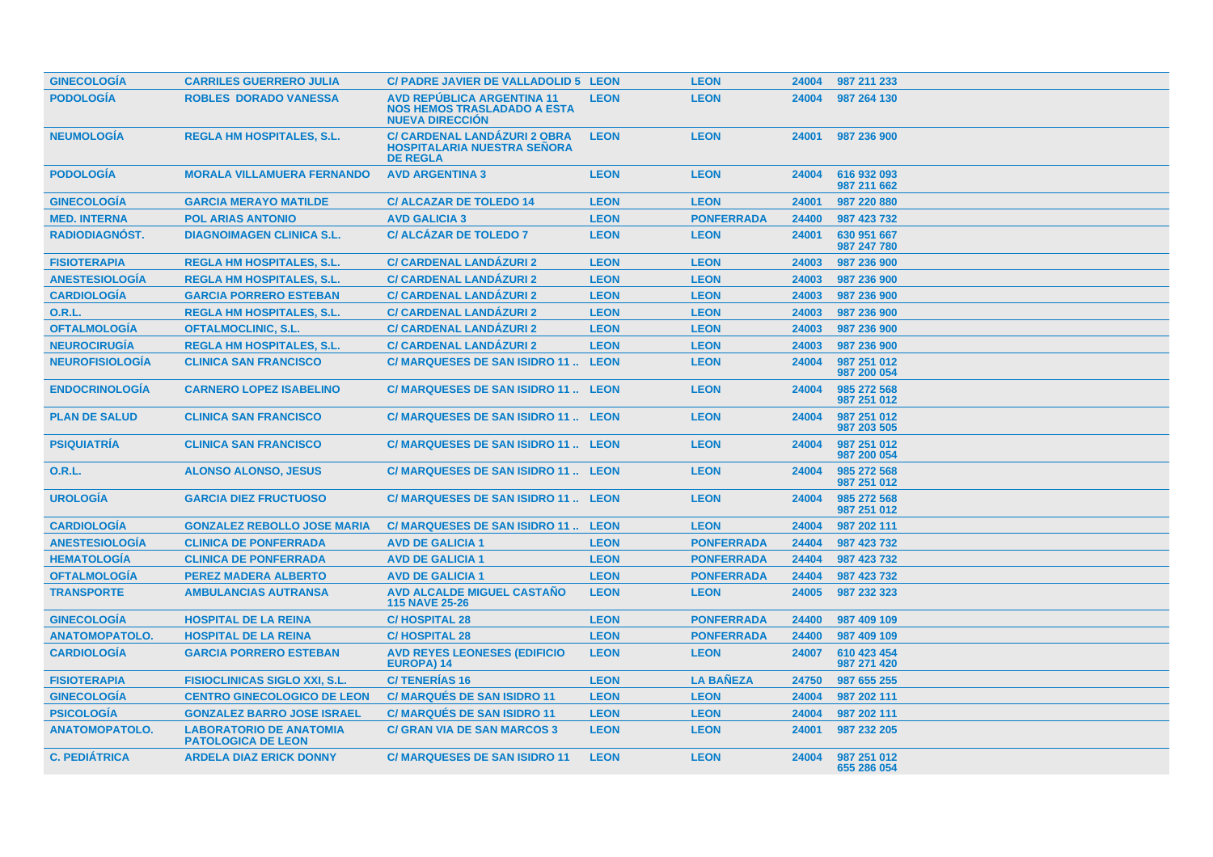| <b>GINECOLOGIA</b>     | <b>CARRILES GUERRERO JULIA</b>                              | C/ PADRE JAVIER DE VALLADOLID 5 LEON                                                              |             | <b>LEON</b>       |       | 24004 987 211 233          |
|------------------------|-------------------------------------------------------------|---------------------------------------------------------------------------------------------------|-------------|-------------------|-------|----------------------------|
| <b>PODOLOGÍA</b>       | <b>ROBLES DORADO VANESSA</b>                                | <b>AVD REPÚBLICA ARGENTINA 11</b><br><b>NOS HEMOS TRASLADADO A ESTA</b><br><b>NUEVA DIRECCIÓN</b> | <b>LEON</b> | <b>LEON</b>       | 24004 | 987 264 130                |
| <b>NEUMOLOGIA</b>      | <b>REGLA HM HOSPITALES, S.L.</b>                            | <b>C/ CARDENAL LANDAZURI 2 OBRA</b><br><b>HOSPITALARIA NUESTRA SEÑORA</b><br><b>DE REGLA</b>      | <b>LEON</b> | <b>LEON</b>       | 24001 | 987 236 900                |
| <b>PODOLOGIA</b>       | <b>MORALA VILLAMUERA FERNANDO</b>                           | <b>AVD ARGENTINA 3</b>                                                                            | <b>LEON</b> | <b>LEON</b>       | 24004 | 616 932 093<br>987 211 662 |
| <b>GINECOLOGIA</b>     | <b>GARCIA MERAYO MATILDE</b>                                | <b>C/ ALCAZAR DE TOLEDO 14</b>                                                                    | <b>LEON</b> | <b>LEON</b>       | 24001 | 987 220 880                |
| <b>MED. INTERNA</b>    | <b>POL ARIAS ANTONIO</b>                                    | <b>AVD GALICIA 3</b>                                                                              | <b>LEON</b> | <b>PONFERRADA</b> | 24400 | 987 423 732                |
| <b>RADIODIAGNÓST.</b>  | <b>DIAGNOIMAGEN CLINICA S.L.</b>                            | <b>C/ ALCÁZAR DE TOLEDO 7</b>                                                                     | <b>LEON</b> | <b>LEON</b>       | 24001 | 630 951 667<br>987 247 780 |
| <b>FISIOTERAPIA</b>    | <b>REGLA HM HOSPITALES, S.L.</b>                            | <b>C/ CARDENAL LANDAZURI 2</b>                                                                    | <b>LEON</b> | <b>LEON</b>       | 24003 | 987 236 900                |
| <b>ANESTESIOLOGIA</b>  | <b>REGLA HM HOSPITALES, S.L.</b>                            | <b>C/ CARDENAL LANDAZURI 2</b>                                                                    | <b>LEON</b> | <b>LEON</b>       | 24003 | 987 236 900                |
| <b>CARDIOLOGÍA</b>     | <b>GARCIA PORRERO ESTEBAN</b>                               | <b>C/ CARDENAL LANDÁZURI 2</b>                                                                    | <b>LEON</b> | <b>LEON</b>       | 24003 | 987 236 900                |
| 0.R.L.                 | <b>REGLA HM HOSPITALES, S.L.</b>                            | <b>C/ CARDENAL LANDAZURI 2</b>                                                                    | <b>LEON</b> | <b>LEON</b>       | 24003 | 987 236 900                |
| <b>OFTALMOLOGÍA</b>    | <b>OFTALMOCLINIC, S.L.</b>                                  | <b>C/ CARDENAL LANDAZURI 2</b>                                                                    | <b>LEON</b> | <b>LEON</b>       | 24003 | 987 236 900                |
| <b>NEUROCIRUGÍA</b>    | <b>REGLA HM HOSPITALES, S.L.</b>                            | <b>C/ CARDENAL LANDÁZURI 2</b>                                                                    | <b>LEON</b> | <b>LEON</b>       | 24003 | 987 236 900                |
| <b>NEUROFISIOLOGIA</b> | <b>CLINICA SAN FRANCISCO</b>                                | C/ MARQUESES DE SAN ISIDRO 11  LEON                                                               |             | <b>LEON</b>       | 24004 | 987 251 012<br>987 200 054 |
| <b>ENDOCRINOLOGIA</b>  | <b>CARNERO LOPEZ ISABELINO</b>                              | <b>C/ MARQUESES DE SAN ISIDRO 11 </b>                                                             | <b>LEON</b> | <b>LEON</b>       | 24004 | 985 272 568<br>987 251 012 |
| <b>PLAN DE SALUD</b>   | <b>CLINICA SAN FRANCISCO</b>                                | C/ MARQUESES DE SAN ISIDRO 11  LEON                                                               |             | <b>LEON</b>       | 24004 | 987 251 012<br>987 203 505 |
| <b>PSIQUIATRIA</b>     | <b>CLINICA SAN FRANCISCO</b>                                | C/ MARQUESES DE SAN ISIDRO 11  LEON                                                               |             | <b>LEON</b>       | 24004 | 987 251 012<br>987 200 054 |
| <b>O.R.L.</b>          | <b>ALONSO ALONSO, JESUS</b>                                 | C/ MARQUESES DE SAN ISIDRO 11  LEON                                                               |             | <b>LEON</b>       | 24004 | 985 272 568<br>987 251 012 |
| <b>UROLOGÍA</b>        | <b>GARCIA DIEZ FRUCTUOSO</b>                                | C/ MARQUESES DE SAN ISIDRO 11  LEON                                                               |             | <b>LEON</b>       | 24004 | 985 272 568<br>987 251 012 |
| <b>CARDIOLOGÍA</b>     | <b>GONZALEZ REBOLLO JOSE MARIA</b>                          | C/ MARQUESES DE SAN ISIDRO 11  LEON                                                               |             | <b>LEON</b>       | 24004 | 987 202 111                |
| <b>ANESTESIOLOGÍA</b>  | <b>CLINICA DE PONFERRADA</b>                                | <b>AVD DE GALICIA 1</b>                                                                           | <b>LEON</b> | <b>PONFERRADA</b> | 24404 | 987 423 732                |
| <b>HEMATOLOGÍA</b>     | <b>CLINICA DE PONFERRADA</b>                                | <b>AVD DE GALICIA 1</b>                                                                           | <b>LEON</b> | <b>PONFERRADA</b> | 24404 | 987 423 732                |
| <b>OFTALMOLOGÍA</b>    | <b>PEREZ MADERA ALBERTO</b>                                 | <b>AVD DE GALICIA 1</b>                                                                           | <b>LEON</b> | <b>PONFERRADA</b> | 24404 | 987 423 732                |
| <b>TRANSPORTE</b>      | <b>AMBULANCIAS AUTRANSA</b>                                 | <b>AVD ALCALDE MIGUEL CASTANO</b><br><b>115 NAVE 25-26</b>                                        | <b>LEON</b> | <b>LEON</b>       | 24005 | 987 232 323                |
| <b>GINECOLOGÍA</b>     | <b>HOSPITAL DE LA REINA</b>                                 | <b>C/HOSPITAL 28</b>                                                                              | <b>LEON</b> | <b>PONFERRADA</b> | 24400 | 987 409 109                |
| <b>ANATOMOPATOLO.</b>  | <b>HOSPITAL DE LA REINA</b>                                 | <b>C/HOSPITAL 28</b>                                                                              | <b>LEON</b> | <b>PONFERRADA</b> | 24400 | 987 409 109                |
| <b>CARDIOLOGIA</b>     | <b>GARCIA PORRERO ESTEBAN</b>                               | <b>AVD REYES LEONESES (EDIFICIO</b><br><b>EUROPA) 14</b>                                          | <b>LEON</b> | <b>LEON</b>       | 24007 | 610 423 454<br>987 271 420 |
| <b>FISIOTERAPIA</b>    | <b>FISIOCLINICAS SIGLO XXI, S.L.</b>                        | <b>C/TENERIAS 16</b>                                                                              | <b>LEON</b> | <b>LA BAÑEZA</b>  | 24750 | 987 655 255                |
| <b>GINECOLOGIA</b>     | <b>CENTRO GINECOLOGICO DE LEON</b>                          | <b>C/ MARQUÉS DE SAN ISIDRO 11</b>                                                                | <b>LEON</b> | <b>LEON</b>       | 24004 | 987 202 111                |
| <b>PSICOLOGÍA</b>      | <b>GONZALEZ BARRO JOSE ISRAEL</b>                           | <b>C/ MARQUÉS DE SAN ISIDRO 11</b>                                                                | <b>LEON</b> | <b>LEON</b>       | 24004 | 987 202 111                |
| <b>ANATOMOPATOLO.</b>  | <b>LABORATORIO DE ANATOMIA</b><br><b>PATOLOGICA DE LEON</b> | <b>C/ GRAN VIA DE SAN MARCOS 3</b>                                                                | <b>LEON</b> | <b>LEON</b>       | 24001 | 987 232 205                |
| <b>C. PEDIÁTRICA</b>   | <b>ARDELA DIAZ ERICK DONNY</b>                              | <b>C/ MARQUESES DE SAN ISIDRO 11</b>                                                              | <b>LEON</b> | <b>LEON</b>       | 24004 | 987 251 012<br>655 286 054 |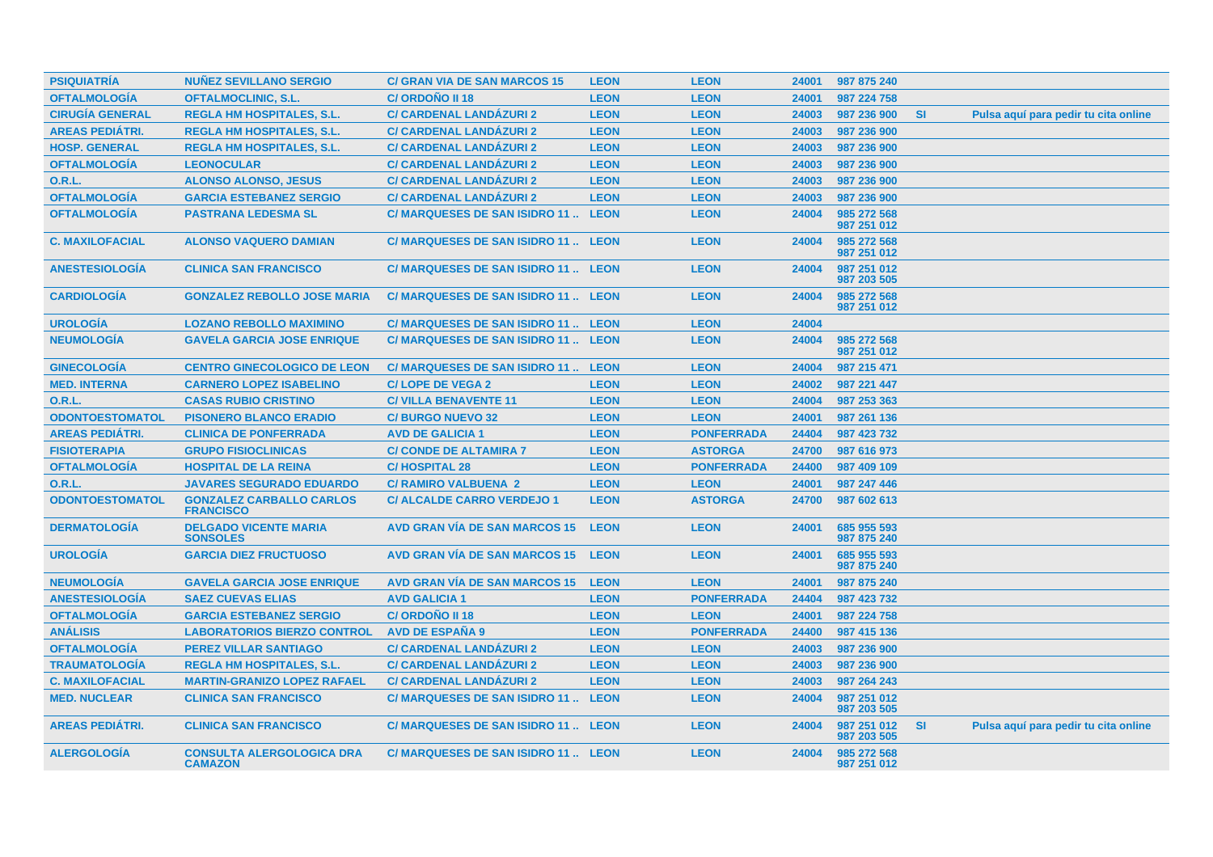| <b>PSIQUIATRÍA</b>     | <b>NUÑEZ SEVILLANO SERGIO</b>                       | <b>C/ GRAN VIA DE SAN MARCOS 15</b>  | <b>LEON</b> | <b>LEON</b>       | 24001 | 987 875 240                |           |                                      |
|------------------------|-----------------------------------------------------|--------------------------------------|-------------|-------------------|-------|----------------------------|-----------|--------------------------------------|
| <b>OFTALMOLOGÍA</b>    | <b>OFTALMOCLINIC, S.L.</b>                          | <b>C/ ORDONO II 18</b>               | <b>LEON</b> | <b>LEON</b>       | 24001 | 987 224 758                |           |                                      |
| <b>CIRUGÍA GENERAL</b> | <b>REGLA HM HOSPITALES, S.L.</b>                    | <b>C/ CARDENAL LANDAZURI 2</b>       | <b>LEON</b> | <b>LEON</b>       | 24003 | 987 236 900                | <b>SI</b> | Pulsa aquí para pedir tu cita online |
| <b>AREAS PEDIÁTRI.</b> | <b>REGLA HM HOSPITALES, S.L.</b>                    | <b>C/ CARDENAL LANDÁZURI 2</b>       | <b>LEON</b> | <b>LEON</b>       | 24003 | 987 236 900                |           |                                      |
| <b>HOSP. GENERAL</b>   | <b>REGLA HM HOSPITALES, S.L.</b>                    | <b>C/ CARDENAL LANDAZURI 2</b>       | <b>LEON</b> | <b>LEON</b>       | 24003 | 987 236 900                |           |                                      |
| <b>OFTALMOLOGÍA</b>    | <b>LEONOCULAR</b>                                   | <b>C/ CARDENAL LANDÁZURI 2</b>       | <b>LEON</b> | <b>LEON</b>       | 24003 | 987 236 900                |           |                                      |
| 0.R.L.                 | <b>ALONSO ALONSO, JESUS</b>                         | <b>C/ CARDENAL LANDAZURI 2</b>       | <b>LEON</b> | <b>LEON</b>       | 24003 | 987 236 900                |           |                                      |
| <b>OFTALMOLOGÍA</b>    | <b>GARCIA ESTEBANEZ SERGIO</b>                      | <b>C/ CARDENAL LANDAZURI 2</b>       | <b>LEON</b> | <b>LEON</b>       | 24003 | 987 236 900                |           |                                      |
| <b>OFTALMOLOGÍA</b>    | <b>PASTRANA LEDESMA SL</b>                          | C/ MARQUESES DE SAN ISIDRO 11  LEON  |             | <b>LEON</b>       | 24004 | 985 272 568<br>987 251 012 |           |                                      |
| <b>C. MAXILOFACIAL</b> | <b>ALONSO VAQUERO DAMIAN</b>                        | C/ MARQUESES DE SAN ISIDRO 11  LEON  |             | <b>LEON</b>       | 24004 | 985 272 568<br>987 251 012 |           |                                      |
| <b>ANESTESIOLOGIA</b>  | <b>CLINICA SAN FRANCISCO</b>                        | C/ MARQUESES DE SAN ISIDRO 11  LEON  |             | <b>LEON</b>       | 24004 | 987 251 012<br>987 203 505 |           |                                      |
| <b>CARDIOLOGÍA</b>     | <b>GONZALEZ REBOLLO JOSE MARIA</b>                  | C/ MARQUESES DE SAN ISIDRO 11  LEON  |             | <b>LEON</b>       | 24004 | 985 272 568<br>987 251 012 |           |                                      |
| <b>UROLOGÍA</b>        | <b>LOZANO REBOLLO MAXIMINO</b>                      | C/ MARQUESES DE SAN ISIDRO 11  LEON  |             | <b>LEON</b>       | 24004 |                            |           |                                      |
| <b>NEUMOLOGÍA</b>      | <b>GAVELA GARCIA JOSE ENRIQUE</b>                   | C/ MARQUESES DE SAN ISIDRO 11  LEON  |             | <b>LEON</b>       | 24004 | 985 272 568<br>987 251 012 |           |                                      |
| <b>GINECOLOGÍA</b>     | <b>CENTRO GINECOLOGICO DE LEON</b>                  | C/ MARQUESES DE SAN ISIDRO 11  LEON  |             | <b>LEON</b>       | 24004 | 987 215 471                |           |                                      |
| <b>MED. INTERNA</b>    | <b>CARNERO LOPEZ ISABELINO</b>                      | <b>C/LOPE DE VEGA 2</b>              | <b>LEON</b> | <b>LEON</b>       | 24002 | 987 221 447                |           |                                      |
| <b>O.R.L.</b>          | <b>CASAS RUBIO CRISTINO</b>                         | <b>C/ VILLA BENAVENTE 11</b>         | <b>LEON</b> | <b>LEON</b>       | 24004 | 987 253 363                |           |                                      |
| <b>ODONTOESTOMATOL</b> | <b>PISONERO BLANCO ERADIO</b>                       | <b>C/BURGO NUEVO 32</b>              | <b>LEON</b> | <b>LEON</b>       | 24001 | 987 261 136                |           |                                      |
| <b>AREAS PEDIÁTRI.</b> | <b>CLINICA DE PONFERRADA</b>                        | <b>AVD DE GALICIA 1</b>              | <b>LEON</b> | <b>PONFERRADA</b> | 24404 | 987 423 732                |           |                                      |
| <b>FISIOTERAPIA</b>    | <b>GRUPO FISIOCLINICAS</b>                          | <b>C/ CONDE DE ALTAMIRA 7</b>        | <b>LEON</b> | <b>ASTORGA</b>    | 24700 | 987 616 973                |           |                                      |
| <b>OFTALMOLOGÍA</b>    | <b>HOSPITAL DE LA REINA</b>                         | <b>C/HOSPITAL 28</b>                 | <b>LEON</b> | <b>PONFERRADA</b> | 24400 | 987 409 109                |           |                                      |
| <b>O.R.L.</b>          | <b>JAVARES SEGURADO EDUARDO</b>                     | <b>C/ RAMIRO VALBUENA 2</b>          | <b>LEON</b> | <b>LEON</b>       | 24001 | 987 247 446                |           |                                      |
| <b>ODONTOESTOMATOL</b> | <b>GONZALEZ CARBALLO CARLOS</b><br><b>FRANCISCO</b> | <b>C/ ALCALDE CARRO VERDEJO 1</b>    | <b>LEON</b> | <b>ASTORGA</b>    | 24700 | 987 602 613                |           |                                      |
| <b>DERMATOLOGÍA</b>    | <b>DELGADO VICENTE MARIA</b><br><b>SONSOLES</b>     | <b>AVD GRAN VÍA DE SAN MARCOS 15</b> | <b>LEON</b> | <b>LEON</b>       | 24001 | 685 955 593<br>987 875 240 |           |                                      |
| <b>UROLOGÍA</b>        | <b>GARCIA DIEZ FRUCTUOSO</b>                        | <b>AVD GRAN VÍA DE SAN MARCOS 15</b> | <b>LEON</b> | <b>LEON</b>       | 24001 | 685 955 593<br>987 875 240 |           |                                      |
| <b>NEUMOLOGIA</b>      | <b>GAVELA GARCIA JOSE ENRIQUE</b>                   | <b>AVD GRAN VIA DE SAN MARCOS 15</b> | <b>LEON</b> | <b>LEON</b>       | 24001 | 987 875 240                |           |                                      |
| <b>ANESTESIOLOGIA</b>  | <b>SAEZ CUEVAS ELIAS</b>                            | <b>AVD GALICIA 1</b>                 | <b>LEON</b> | <b>PONFERRADA</b> | 24404 | 987 423 732                |           |                                      |
| <b>OFTALMOLOGÍA</b>    | <b>GARCIA ESTEBANEZ SERGIO</b>                      | C/ORDOÑO II 18                       | <b>LEON</b> | <b>LEON</b>       | 24001 | 987 224 758                |           |                                      |
| <b>ANÁLISIS</b>        | <b>LABORATORIOS BIERZO CONTROL</b>                  | <b>AVD DE ESPAÑA 9</b>               | <b>LEON</b> | <b>PONFERRADA</b> | 24400 | 987 415 136                |           |                                      |
| <b>OFTALMOLOGÍA</b>    | <b>PEREZ VILLAR SANTIAGO</b>                        | <b>C/ CARDENAL LANDAZURI 2</b>       | <b>LEON</b> | <b>LEON</b>       | 24003 | 987 236 900                |           |                                      |
| <b>TRAUMATOLOGÍA</b>   | <b>REGLA HM HOSPITALES, S.L.</b>                    | <b>C/ CARDENAL LANDAZURI 2</b>       | <b>LEON</b> | <b>LEON</b>       | 24003 | 987 236 900                |           |                                      |
| <b>C. MAXILOFACIAL</b> | <b>MARTIN-GRANIZO LOPEZ RAFAEL</b>                  | <b>C/ CARDENAL LANDAZURI 2</b>       | <b>LEON</b> | <b>LEON</b>       | 24003 | 987 264 243                |           |                                      |
| <b>MED. NUCLEAR</b>    | <b>CLINICA SAN FRANCISCO</b>                        | C/ MARQUESES DE SAN ISIDRO 11  LEON  |             | <b>LEON</b>       | 24004 | 987 251 012<br>987 203 505 |           |                                      |
| <b>AREAS PEDIATRI.</b> | <b>CLINICA SAN FRANCISCO</b>                        | C/ MARQUESES DE SAN ISIDRO 11  LEON  |             | <b>LEON</b>       | 24004 | 987 251 012<br>987 203 505 | <b>SI</b> | Pulsa aquí para pedir tu cita online |
| <b>ALERGOLOGIA</b>     | <b>CONSULTA ALERGOLOGICA DRA</b><br><b>CAMAZON</b>  | C/MARQUESES DE SAN ISIDRO 11  LEON   |             | <b>LEON</b>       | 24004 | 985 272 568<br>987 251 012 |           |                                      |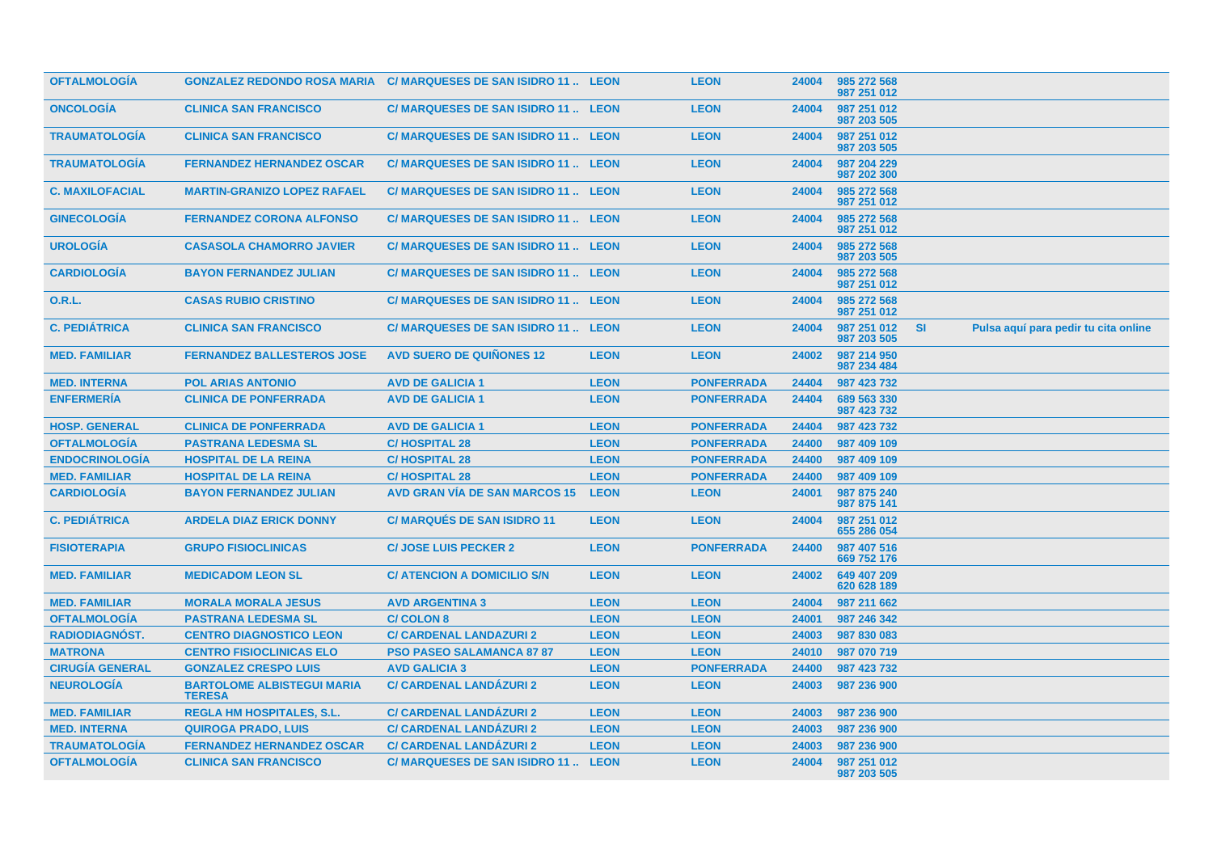| <b>OFTALMOLOGIA</b>    |                                                    | <b>GONZALEZ REDONDO ROSA MARIA C/ MARQUESES DE SAN ISIDRO 11. LEON</b> |             | <b>LEON</b>       | 24004 | 985 272 568<br>987 251 012 |           |                                      |  |
|------------------------|----------------------------------------------------|------------------------------------------------------------------------|-------------|-------------------|-------|----------------------------|-----------|--------------------------------------|--|
| <b>ONCOLOGÍA</b>       | <b>CLINICA SAN FRANCISCO</b>                       | C/ MARQUESES DE SAN ISIDRO 11  LEON                                    |             | <b>LEON</b>       | 24004 | 987 251 012<br>987 203 505 |           |                                      |  |
| <b>TRAUMATOLOGÍA</b>   | <b>CLINICA SAN FRANCISCO</b>                       | C/MARQUESES DE SAN ISIDRO 11  LEON                                     |             | <b>LEON</b>       | 24004 | 987 251 012<br>987 203 505 |           |                                      |  |
| <b>TRAUMATOLOGÍA</b>   | <b>FERNANDEZ HERNANDEZ OSCAR</b>                   | C/ MARQUESES DE SAN ISIDRO 11  LEON                                    |             | <b>LEON</b>       | 24004 | 987 204 229<br>987 202 300 |           |                                      |  |
| <b>C. MAXILOFACIAL</b> | <b>MARTIN-GRANIZO LOPEZ RAFAEL</b>                 | C/MARQUESES DE SAN ISIDRO 11  LEON                                     |             | <b>LEON</b>       | 24004 | 985 272 568<br>987 251 012 |           |                                      |  |
| <b>GINECOLOGÍA</b>     | <b>FERNANDEZ CORONA ALFONSO</b>                    | C/ MARQUESES DE SAN ISIDRO 11  LEON                                    |             | <b>LEON</b>       | 24004 | 985 272 568<br>987 251 012 |           |                                      |  |
| <b>UROLOGÍA</b>        | <b>CASASOLA CHAMORRO JAVIER</b>                    | C/MARQUESES DE SAN ISIDRO 11  LEON                                     |             | <b>LEON</b>       | 24004 | 985 272 568<br>987 203 505 |           |                                      |  |
| <b>CARDIOLOGÍA</b>     | <b>BAYON FERNANDEZ JULIAN</b>                      | C/ MARQUESES DE SAN ISIDRO 11  LEON                                    |             | <b>LEON</b>       | 24004 | 985 272 568<br>987 251 012 |           |                                      |  |
| <b>O.R.L.</b>          | <b>CASAS RUBIO CRISTINO</b>                        | C/MARQUESES DE SAN ISIDRO 11  LEON                                     |             | <b>LEON</b>       | 24004 | 985 272 568<br>987 251 012 |           |                                      |  |
| <b>C. PEDIÁTRICA</b>   | <b>CLINICA SAN FRANCISCO</b>                       | C/MARQUESES DE SAN ISIDRO 11  LEON                                     |             | <b>LEON</b>       | 24004 | 987 251 012<br>987 203 505 | <b>SI</b> | Pulsa aquí para pedir tu cita online |  |
| <b>MED. FAMILIAR</b>   | <b>FERNANDEZ BALLESTEROS JOSE</b>                  | <b>AVD SUERO DE QUIÑONES 12</b>                                        | <b>LEON</b> | <b>LEON</b>       | 24002 | 987 214 950<br>987 234 484 |           |                                      |  |
| <b>MED. INTERNA</b>    | <b>POL ARIAS ANTONIO</b>                           | <b>AVD DE GALICIA 1</b>                                                | <b>LEON</b> | <b>PONFERRADA</b> | 24404 | 987 423 732                |           |                                      |  |
| <b>ENFERMERÍA</b>      | <b>CLINICA DE PONFERRADA</b>                       | <b>AVD DE GALICIA 1</b>                                                | <b>LEON</b> | <b>PONFERRADA</b> | 24404 | 689 563 330<br>987 423 732 |           |                                      |  |
| <b>HOSP. GENERAL</b>   | <b>CLINICA DE PONFERRADA</b>                       | <b>AVD DE GALICIA 1</b>                                                | <b>LEON</b> | <b>PONFERRADA</b> | 24404 | 987 423 732                |           |                                      |  |
| <b>OFTALMOLOGIA</b>    | <b>PASTRANA LEDESMA SL</b>                         | <b>C/HOSPITAL 28</b>                                                   | <b>LEON</b> | <b>PONFERRADA</b> | 24400 | 987 409 109                |           |                                      |  |
| <b>ENDOCRINOLOGÍA</b>  | <b>HOSPITAL DE LA REINA</b>                        | <b>C/HOSPITAL 28</b>                                                   | <b>LEON</b> | <b>PONFERRADA</b> | 24400 | 987 409 109                |           |                                      |  |
| <b>MED. FAMILIAR</b>   | <b>HOSPITAL DE LA REINA</b>                        | <b>C/HOSPITAL 28</b>                                                   | <b>LEON</b> | <b>PONFERRADA</b> | 24400 | 987 409 109                |           |                                      |  |
| <b>CARDIOLOGÍA</b>     | <b>BAYON FERNANDEZ JULIAN</b>                      | <b>AVD GRAN VIA DE SAN MARCOS 15</b>                                   | <b>LEON</b> | <b>LEON</b>       | 24001 | 987 875 240<br>987 875 141 |           |                                      |  |
| <b>C. PEDIÁTRICA</b>   | <b>ARDELA DIAZ ERICK DONNY</b>                     | <b>C/MARQUÉS DE SAN ISIDRO 11</b>                                      | <b>LEON</b> | <b>LEON</b>       | 24004 | 987 251 012<br>655 286 054 |           |                                      |  |
| <b>FISIOTERAPIA</b>    | <b>GRUPO FISIOCLINICAS</b>                         | <b>C/ JOSE LUIS PECKER 2</b>                                           | <b>LEON</b> | <b>PONFERRADA</b> | 24400 | 987 407 516<br>669 752 176 |           |                                      |  |
| <b>MED. FAMILIAR</b>   | <b>MEDICADOM LEON SL</b>                           | C/ ATENCION A DOMICILIO S/N                                            | <b>LEON</b> | <b>LEON</b>       | 24002 | 649 407 209<br>620 628 189 |           |                                      |  |
| <b>MED. FAMILIAR</b>   | <b>MORALA MORALA JESUS</b>                         | <b>AVD ARGENTINA 3</b>                                                 | <b>LEON</b> | <b>LEON</b>       | 24004 | 987 211 662                |           |                                      |  |
| <b>OFTALMOLOGÍA</b>    | <b>PASTRANA LEDESMA SL</b>                         | <b>C/COLON 8</b>                                                       | <b>LEON</b> | <b>LEON</b>       | 24001 | 987 246 342                |           |                                      |  |
| RADIODIAGNÓST.         | <b>CENTRO DIAGNOSTICO LEON</b>                     | <b>C/ CARDENAL LANDAZURI 2</b>                                         | <b>LEON</b> | <b>LEON</b>       | 24003 | 987 830 083                |           |                                      |  |
| <b>MATRONA</b>         | <b>CENTRO FISIOCLINICAS ELO</b>                    | <b>PSO PASEO SALAMANCA 87 87</b>                                       | <b>LEON</b> | <b>LEON</b>       | 24010 | 987 070 719                |           |                                      |  |
| <b>CIRUGÍA GENERAL</b> | <b>GONZALEZ CRESPO LUIS</b>                        | <b>AVD GALICIA 3</b>                                                   | <b>LEON</b> | <b>PONFERRADA</b> | 24400 | 987 423 732                |           |                                      |  |
| <b>NEUROLOGÍA</b>      | <b>BARTOLOME ALBISTEGUI MARIA</b><br><b>TERESA</b> | <b>C/ CARDENAL LANDAZURI 2</b>                                         | <b>LEON</b> | <b>LEON</b>       | 24003 | 987 236 900                |           |                                      |  |
| <b>MED. FAMILIAR</b>   | <b>REGLA HM HOSPITALES, S.L.</b>                   | <b>C/ CARDENAL LANDÁZURI 2</b>                                         | <b>LEON</b> | <b>LEON</b>       | 24003 | 987 236 900                |           |                                      |  |
| <b>MED. INTERNA</b>    | <b>QUIROGA PRADO, LUIS</b>                         | <b>C/ CARDENAL LANDÁZURI 2</b>                                         | <b>LEON</b> | <b>LEON</b>       | 24003 | 987 236 900                |           |                                      |  |
| <b>TRAUMATOLOGIA</b>   | <b>FERNANDEZ HERNANDEZ OSCAR</b>                   | <b>C/ CARDENAL LANDAZURI 2</b>                                         | <b>LEON</b> | <b>LEON</b>       | 24003 | 987 236 900                |           |                                      |  |
| <b>OFTALMOLOGÍA</b>    | <b>CLINICA SAN FRANCISCO</b>                       | <b>C/ MARQUESES DE SAN ISIDRO 11 </b>                                  | <b>LEON</b> | <b>LEON</b>       | 24004 | 987 251 012<br>987 203 505 |           |                                      |  |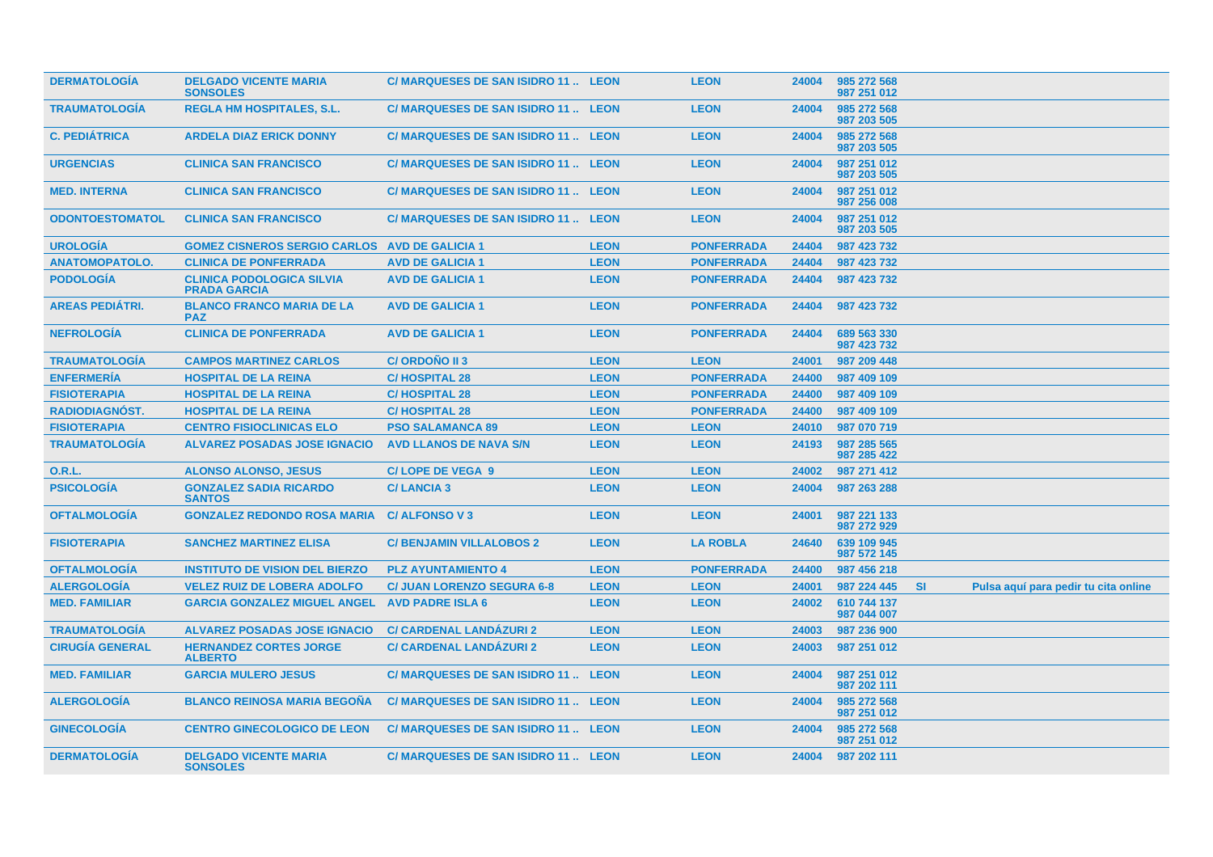| <b>DERMATOLOGIA</b>    | <b>DELGADO VICENTE MARIA</b><br><b>SONSOLES</b>         | C/ MARQUESES DE SAN ISIDRO 11  LEON |             | <b>LEON</b>       | 24004 | 985 272 568<br>987 251 012 |           |                                      |  |
|------------------------|---------------------------------------------------------|-------------------------------------|-------------|-------------------|-------|----------------------------|-----------|--------------------------------------|--|
| <b>TRAUMATOLOGIA</b>   | <b>REGLA HM HOSPITALES, S.L.</b>                        | C/MARQUESES DE SAN ISIDRO 11  LEON  |             | <b>LEON</b>       | 24004 | 985 272 568<br>987 203 505 |           |                                      |  |
| <b>C. PEDIÁTRICA</b>   | <b>ARDELA DIAZ ERICK DONNY</b>                          | C/MARQUESES DE SAN ISIDRO 11  LEON  |             | <b>LEON</b>       | 24004 | 985 272 568<br>987 203 505 |           |                                      |  |
| <b>URGENCIAS</b>       | <b>CLINICA SAN FRANCISCO</b>                            | C/ MARQUESES DE SAN ISIDRO 11  LEON |             | <b>LEON</b>       | 24004 | 987 251 012<br>987 203 505 |           |                                      |  |
| <b>MED. INTERNA</b>    | <b>CLINICA SAN FRANCISCO</b>                            | C/ MARQUESES DE SAN ISIDRO 11  LEON |             | <b>LEON</b>       | 24004 | 987 251 012<br>987 256 008 |           |                                      |  |
| <b>ODONTOESTOMATOL</b> | <b>CLINICA SAN FRANCISCO</b>                            | C/ MARQUESES DE SAN ISIDRO 11  LEON |             | <b>LEON</b>       | 24004 | 987 251 012<br>987 203 505 |           |                                      |  |
| <b>UROLOGÍA</b>        | <b>GOMEZ CISNEROS SERGIO CARLOS AVD DE GALICIA 1</b>    |                                     | <b>LEON</b> | <b>PONFERRADA</b> | 24404 | 987 423 732                |           |                                      |  |
| <b>ANATOMOPATOLO.</b>  | <b>CLINICA DE PONFERRADA</b>                            | <b>AVD DE GALICIA 1</b>             | <b>LEON</b> | <b>PONFERRADA</b> | 24404 | 987 423 732                |           |                                      |  |
| <b>PODOLOGIA</b>       | <b>CLINICA PODOLOGICA SILVIA</b><br><b>PRADA GARCIA</b> | <b>AVD DE GALICIA 1</b>             | <b>LEON</b> | <b>PONFERRADA</b> | 24404 | 987 423 732                |           |                                      |  |
| <b>AREAS PEDIÁTRI.</b> | <b>BLANCO FRANCO MARIA DE LA</b><br><b>PAZ</b>          | <b>AVD DE GALICIA 1</b>             | <b>LEON</b> | <b>PONFERRADA</b> | 24404 | 987 423 732                |           |                                      |  |
| <b>NEFROLOGÍA</b>      | <b>CLINICA DE PONFERRADA</b>                            | <b>AVD DE GALICIA 1</b>             | <b>LEON</b> | <b>PONFERRADA</b> | 24404 | 689 563 330<br>987 423 732 |           |                                      |  |
| <b>TRAUMATOLOGÍA</b>   | <b>CAMPOS MARTINEZ CARLOS</b>                           | C/ORDOÑO II 3                       | <b>LEON</b> | <b>LEON</b>       | 24001 | 987 209 448                |           |                                      |  |
| <b>ENFERMERÍA</b>      | <b>HOSPITAL DE LA REINA</b>                             | <b>C/HOSPITAL 28</b>                | <b>LEON</b> | <b>PONFERRADA</b> | 24400 | 987 409 109                |           |                                      |  |
| <b>FISIOTERAPIA</b>    | <b>HOSPITAL DE LA REINA</b>                             | <b>C/HOSPITAL 28</b>                | <b>LEON</b> | <b>PONFERRADA</b> | 24400 | 987 409 109                |           |                                      |  |
| <b>RADIODIAGNOST.</b>  | <b>HOSPITAL DE LA REINA</b>                             | <b>C/HOSPITAL 28</b>                | <b>LEON</b> | <b>PONFERRADA</b> | 24400 | 987 409 109                |           |                                      |  |
| <b>FISIOTERAPIA</b>    | <b>CENTRO FISIOCLINICAS ELO</b>                         | <b>PSO SALAMANCA 89</b>             | <b>LEON</b> | <b>LEON</b>       | 24010 | 987 070 719                |           |                                      |  |
| <b>TRAUMATOLOGÍA</b>   | <b>ALVAREZ POSADAS JOSE IGNACIO</b>                     | <b>AVD LLANOS DE NAVA S/N</b>       | <b>LEON</b> | <b>LEON</b>       | 24193 | 987 285 565<br>987 285 422 |           |                                      |  |
| <b>O.R.L.</b>          | <b>ALONSO ALONSO, JESUS</b>                             | <b>C/LOPE DE VEGA 9</b>             | <b>LEON</b> | <b>LEON</b>       | 24002 | 987 271 412                |           |                                      |  |
| <b>PSICOLOGÍA</b>      | <b>GONZALEZ SADIA RICARDO</b><br><b>SANTOS</b>          | <b>C/LANCIA 3</b>                   | <b>LEON</b> | <b>LEON</b>       | 24004 | 987 263 288                |           |                                      |  |
| <b>OFTALMOLOGIA</b>    | <b>GONZALEZ REDONDO ROSA MARIA</b>                      | <b>C/ALFONSO V3</b>                 | <b>LEON</b> | <b>LEON</b>       | 24001 | 987 221 133<br>987 272 929 |           |                                      |  |
| <b>FISIOTERAPIA</b>    | <b>SANCHEZ MARTINEZ ELISA</b>                           | <b>C/BENJAMIN VILLALOBOS 2</b>      | <b>LEON</b> | <b>LA ROBLA</b>   | 24640 | 639 109 945<br>987 572 145 |           |                                      |  |
| <b>OFTALMOLOGÍA</b>    | <b>INSTITUTO DE VISION DEL BIERZO</b>                   | <b>PLZ AYUNTAMIENTO 4</b>           | <b>LEON</b> | <b>PONFERRADA</b> | 24400 | 987 456 218                |           |                                      |  |
| <b>ALERGOLOGÍA</b>     | <b>VELEZ RUIZ DE LOBERA ADOLFO</b>                      | <b>C/ JUAN LORENZO SEGURA 6-8</b>   | <b>LEON</b> | <b>LEON</b>       | 24001 | 987 224 445                | <b>SI</b> | Pulsa aquí para pedir tu cita online |  |
| <b>MED. FAMILIAR</b>   | <b>GARCIA GONZALEZ MIGUEL ANGEL</b>                     | <b>AVD PADRE ISLA 6</b>             | <b>LEON</b> | <b>LEON</b>       | 24002 | 610 744 137<br>987 044 007 |           |                                      |  |
| <b>TRAUMATOLOGIA</b>   | <b>ALVAREZ POSADAS JOSE IGNACIO</b>                     | <b>C/ CARDENAL LANDAZURI 2</b>      | <b>LEON</b> | <b>LEON</b>       | 24003 | 987 236 900                |           |                                      |  |
| <b>CIRUGÍA GENERAL</b> | <b>HERNANDEZ CORTES JORGE</b><br><b>ALBERTO</b>         | <b>C/ CARDENAL LANDAZURI 2</b>      | <b>LEON</b> | <b>LEON</b>       | 24003 | 987 251 012                |           |                                      |  |
| <b>MED. FAMILIAR</b>   | <b>GARCIA MULERO JESUS</b>                              | C/ MARQUESES DE SAN ISIDRO 11  LEON |             | <b>LEON</b>       | 24004 | 987 251 012<br>987 202 111 |           |                                      |  |
| <b>ALERGOLOGIA</b>     | <b>BLANCO REINOSA MARIA BEGONA</b>                      | C/ MARQUESES DE SAN ISIDRO 11  LEON |             | <b>LEON</b>       | 24004 | 985 272 568<br>987 251 012 |           |                                      |  |
| <b>GINECOLOGIA</b>     | <b>CENTRO GINECOLOGICO DE LEON</b>                      | C/ MARQUESES DE SAN ISIDRO 11  LEON |             | <b>LEON</b>       | 24004 | 985 272 568<br>987 251 012 |           |                                      |  |
| <b>DERMATOLOGIA</b>    | <b>DELGADO VICENTE MARIA</b><br><b>SONSOLES</b>         | C/MARQUESES DE SAN ISIDRO 11  LEON  |             | <b>LEON</b>       | 24004 | 987 202 111                |           |                                      |  |